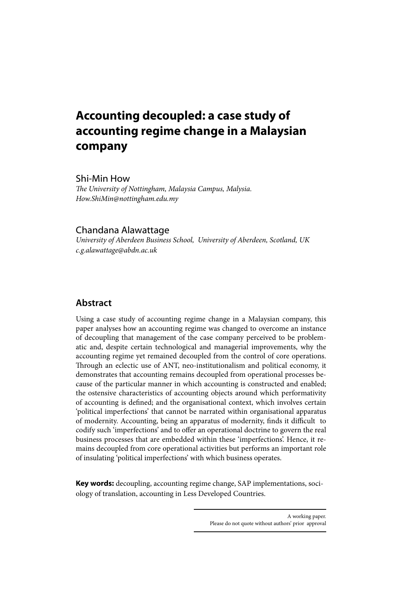# **Accounting decoupled: a case study of accounting regime change in a Malaysian company**

### Shi-Min How

*The University of Nottingham, Malaysia Campus, Malysia. How.ShiMin@nottingham.edu.my*

### Chandana Alawattage

*University of Aberdeen Business School, University of Aberdeen, Scotland, UK c.g.alawattage@abdn.ac.uk*

### **Abstract**

Using a case study of accounting regime change in a Malaysian company, this paper analyses how an accounting regime was changed to overcome an instance of decoupling that management of the case company perceived to be problematic and, despite certain technological and managerial improvements, why the accounting regime yet remained decoupled from the control of core operations. Through an eclectic use of ANT, neo-institutionalism and political economy, it demonstrates that accounting remains decoupled from operational processes because of the particular manner in which accounting is constructed and enabled; the ostensive characteristics of accounting objects around which performativity of accounting is defined; and the organisational context, which involves certain 'political imperfections' that cannot be narrated within organisational apparatus of modernity. Accounting, being an apparatus of modernity, finds it difficult to codify such 'imperfections' and to offer an operational doctrine to govern the real business processes that are embedded within these 'imperfections'. Hence, it remains decoupled from core operational activities but performs an important role of insulating 'political imperfections' with which business operates.

**Key words:** decoupling, accounting regime change, SAP implementations, sociology of translation, accounting in Less Developed Countries.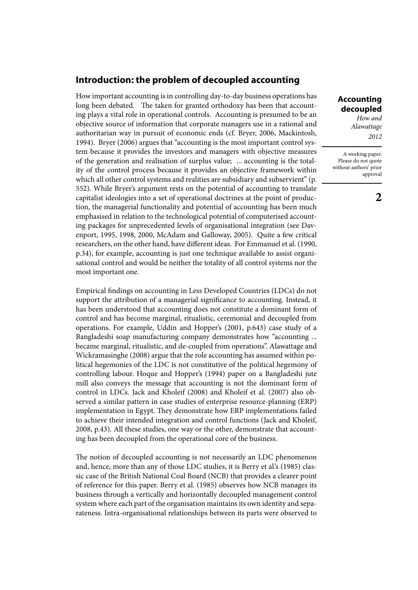### **Introduction: the problem of decoupled accounting**

How important accounting is in controlling day-to-day business operations has long been debated. The taken for granted orthodoxy has been that accounting plays a vital role in operational controls. Accounting is presumed to be an objective source of information that corporate managers use in a rational and authoritarian way in pursuit of economic ends (cf. Bryer, 2006, Mackintosh, 1994). Bryer (2006) argues that "accounting is the most important control system because it provides the investors and managers with objective measures of the generation and realisation of surplus value; ... accounting is the totality of the control process because it provides an objective framework within which all other control systems and realities are subsidiary and subservient" (p. 552). While Bryer's argument rests on the potential of accounting to translate capitalist ideologies into a set of operational doctrines at the point of production, the managerial functionality and potential of accounting has been much emphasised in relation to the technological potential of computerised accounting packages for unprecedented levels of organisational integration (see Davenport, 1995, 1998, 2000, McAdam and Galloway, 2005). Quite a few critical researchers, on the other hand, have different ideas. For Emmanuel et al. (1990, p.34), for example, accounting is just one technique available to assist organisational control and would be neither the totality of all control systems nor the most important one.

Empirical findings on accounting in Less Developed Countries (LDCs) do not support the attribution of a managerial significance to accounting. Instead, it has been understood that accounting does not constitute a dominant form of control and has become marginal, ritualistic, ceremonial and decoupled from operations. For example, Uddin and Hopper's (2001, p.643) case study of a Bangladeshi soap manufacturing company demonstrates how "accounting ... became marginal, ritualistic, and de-coupled from operations". Alawattage and Wickramasinghe (2008) argue that the role accounting has assumed within political hegemonies of the LDC is not constitutive of the political hegemony of controlling labour. Hoque and Hopper's (1994) paper on a Bangladeshi jute mill also conveys the message that accounting is not the dominant form of control in LDCs. Jack and Kholeif (2008) and Kholeif et al. (2007) also observed a similar pattern in case studies of enterprise resource-planning (ERP) implementation in Egypt. They demonstrate how ERP implementations failed to achieve their intended integration and control functions (Jack and Kholeif, 2008, p.43). All these studies, one way or the other, demonstrate that accounting has been decoupled from the operational core of the business.

The notion of decoupled accounting is not necessarily an LDC phenomenon and, hence, more than any of those LDC studies, it is Berry et al.'s (1985) classic case of the British National Coal Board (NCB) that provides a clearer point of reference for this paper. Berry et al. (1985) observes how NCB manages its business through a vertically and horizontally decoupled management control system where each part of the organisation maintains its own identity and separateness. Intra-organisational relationships between its parts were observed to

#### **Accounting decoupled**  *How and*

*Alawattage 2012*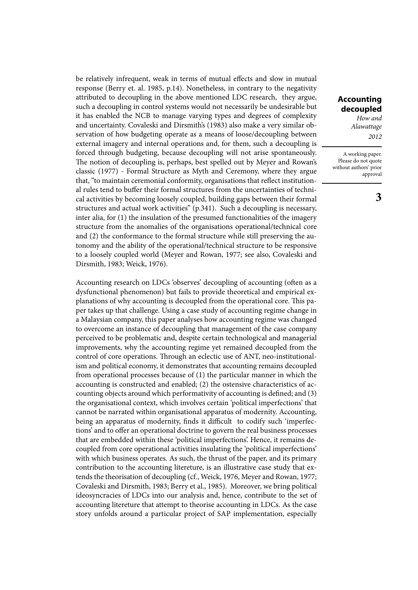be relatively infrequent, weak in terms of mutual effects and slow in mutual response (Berry et. al. 1985, p.14). Nonetheless, in contrary to the negativity attributed to decoupling in the above mentioned LDC research, they argue, such a decoupling in control systems would not necessarily be undesirable but it has enabled the NCB to manage varying types and degrees of complexity and uncertainty. Covaleski and Dirsmith's (1983) also make a very similar observation of how budgeting operate as a means of loose/decoupling between external imagery and internal operations and, for them, such a decoupling is forced through budgeting, because decoupling will not arise spontaneously. The notion of decoupling is, perhaps, best spelled out by Meyer and Rowan's classic (1977) - Formal Structure as Myth and Ceremony, where they argue that, "to maintain ceremonial conformity, organisations that reflect institutional rules tend to buffer their formal structures from the uncertainties of technical activities by becoming loosely coupled, building gaps between their formal structures and actual work activities" (p.341). Such a decoupling is necessary, inter alia, for (1) the insulation of the presumed functionalities of the imagery structure from the anomalies of the organisations operational/technical core and (2) the conformance to the formal structure while still preserving the autonomy and the ability of the operational/technical structure to be responsive to a loosely coupled world (Meyer and Rowan, 1977; see also, Covaleski and Dirsmith, 1983; Weick, 1976).

Accounting research on LDCs 'observes' decoupling of accounting (often as a dysfunctional phenomenon) but fails to provide theoretical and empirical explanations of why accounting is decoupled from the operational core. This paper takes up that challenge. Using a case study of accounting regime change in a Malaysian company, this paper analyses how accounting regime was changed to overcome an instance of decoupling that management of the case company perceived to be problematic and, despite certain technological and managerial improvements, why the accounting regime yet remained decoupled from the control of core operations. Through an eclectic use of ANT, neo-institutionalism and political economy, it demonstrates that accounting remains decoupled from operational processes because of (1) the particular manner in which the accounting is constructed and enabled; (2) the ostensive characteristics of accounting objects around which performativity of accounting is defined; and (3) the organisational context, which involves certain 'political imperfections' that cannot be narrated within organisational apparatus of modernity. Accounting, being an apparatus of modernity, finds it difficult to codify such 'imperfections' and to offer an operational doctrine to govern the real business processes that are embedded within these 'political imperfections'. Hence, it remains decoupled from core operational activities insulating the 'political imperfections' with which business operates. As such, the thrust of the paper, and its primary contribution to the accounting litereture, is an illustrative case study that extends the theorisation of decoupling (cf., Weick, 1976, Meyer and Rowan, 1977; Covaleski and Dirsmith, 1983; Berry et al., 1985). Moreover, we bring political ideosyncracies of LDCs into our analysis and, hence, contribute to the set of accounting litereture that attempt to theorise accounting in LDCs. As the case story unfolds around a particular project of SAP implementation, especially

#### **Accounting decoupled**  *How and*

*Alawattage 2012*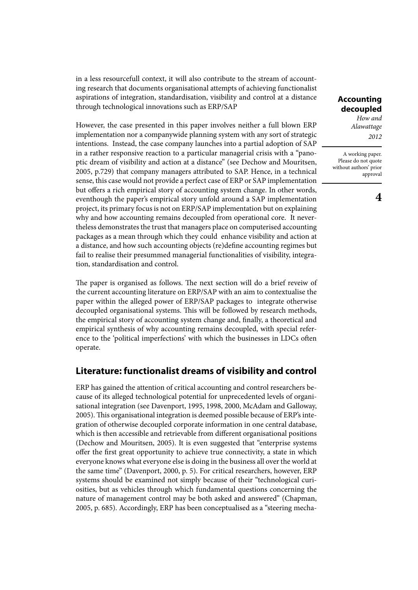in a less resourcefull context, it will also contribute to the stream of accounting research that documents organisational attempts of achieving functionalist aspirations of integration, standardisation, visibility and control at a distance through technological innovations such as ERP/SAP

However, the case presented in this paper involves neither a full blown ERP implementation nor a companywide planning system with any sort of strategic intentions. Instead, the case company launches into a partial adoption of SAP in a rather responsive reaction to a particular managerial crisis with a "panoptic dream of visibility and action at a distance" (see Dechow and Mouritsen, 2005, p.729) that company managers attributed to SAP. Hence, in a technical sense, this case would not provide a perfect case of ERP or SAP implementation but offers a rich empirical story of accounting system change. In other words, eventhough the paper's empirical story unfold around a SAP implementation project, its primary focus is not on ERP/SAP implementation but on explaining why and how accounting remains decoupled from operational core. It nevertheless demonstrates the trust that managers place on computerised accounting packages as a mean through which they could enhance visibility and action at a distance, and how such accounting objects (re)define accounting regimes but fail to realise their presummed managerial functionalities of visibility, integration, standardisation and control.

The paper is organised as follows. The next section will do a brief reveiw of the current accounting literature on ERP/SAP with an aim to contextualise the paper within the alleged power of ERP/SAP packages to integrate otherwise decoupled organisational systems. This will be followed by research methods, the empirical story of accounting system change and, finally, a theoretical and empirical synthesis of why accounting remains decoupled, with special reference to the 'political imperfections' with which the businesses in LDCs often operate.

### **Literature: functionalist dreams of visibility and control**

ERP has gained the attention of critical accounting and control researchers because of its alleged technological potential for unprecedented levels of organisational integration (see Davenport, 1995, 1998, 2000, McAdam and Galloway, 2005). This organisational integration is deemed possible because of ERP's integration of otherwise decoupled corporate information in one central database, which is then accessible and retrievable from different organisational positions (Dechow and Mouritsen, 2005). It is even suggested that "enterprise systems offer the first great opportunity to achieve true connectivity, a state in which everyone knows what everyone else is doing in the business all over the world at the same time" (Davenport, 2000, p. 5). For critical researchers, however, ERP systems should be examined not simply because of their "technological curiosities, but as vehicles through which fundamental questions concerning the nature of management control may be both asked and answered" (Chapman, 2005, p. 685). Accordingly, ERP has been conceptualised as a "steering mecha-

#### **Accounting decoupled**  *How and*

*Alawattage 2012*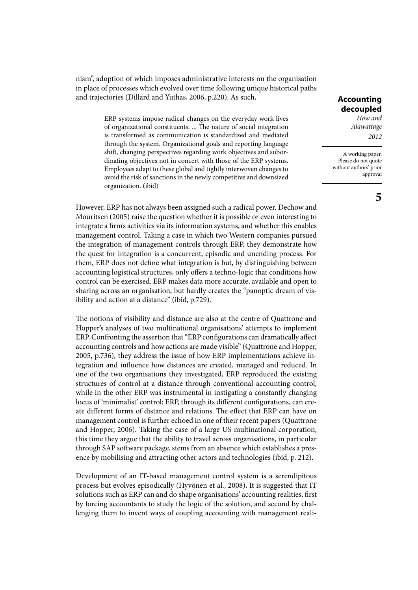nism", adoption of which imposes administrative interests on the organisation in place of processes which evolved over time following unique historical paths and trajectories (Dillard and Yuthas, 2006, p.220). As such,

> ERP systems impose radical changes on the everyday work lives of organizational constituents. ... The nature of social integration is transformed as communication is standardized and mediated through the system. Organizational goals and reporting language shift, changing perspectives regarding work objectives and subordinating objectives not in concert with those of the ERP systems. Employees adapt to these global and tightly interwoven changes to avoid the risk of sanctions in the newly competitive and downsized organization. (ibid)

However, ERP has not always been assigned such a radical power. Dechow and Mouritsen (2005) raise the question whether it is possible or even interesting to integrate a firm's activities via its information systems, and whether this enables management control. Taking a case in which two Western companies pursued the integration of management controls through ERP, they demonstrate how the quest for integration is a concurrent, episodic and unending process. For them, ERP does not define what integration is but, by distinguishing between accounting logistical structures, only offers a techno-logic that conditions how control can be exercised. ERP makes data more accurate, available and open to sharing across an organisation, but hardly creates the "panoptic dream of visibility and action at a distance" (ibid, p.729).

The notions of visibility and distance are also at the centre of Quattrone and Hopper's analyses of two multinational organisations' attempts to implement ERP. Confronting the assertion that "ERP configurations can dramatically affect accounting controls and how actions are made visible" (Quattrone and Hopper, 2005, p.736), they address the issue of how ERP implementations achieve integration and influence how distances are created, managed and reduced. In one of the two organisations they investigated, ERP reproduced the existing structures of control at a distance through conventional accounting control, while in the other ERP was instrumental in instigating a constantly changing locus of 'minimalist' control; ERP, through its different configurations, can create different forms of distance and relations. The effect that ERP can have on management control is further echoed in one of their recent papers (Quattrone and Hopper, 2006). Taking the case of a large US multinational corporation, this time they argue that the ability to travel across organisations, in particular through SAP software package, stems from an absence which establishes a presence by mobilising and attracting other actors and technologies (ibid, p. 212).

Development of an IT-based management control system is a serendipitous process but evolves episodically (Hyvönen et al., 2008). It is suggested that IT solutions such as ERP can and do shape organisations' accounting realities, first by forcing accountants to study the logic of the solution, and second by challenging them to invent ways of coupling accounting with management reali-

#### **Accounting decoupled**  *How and*

*Alawattage 2012*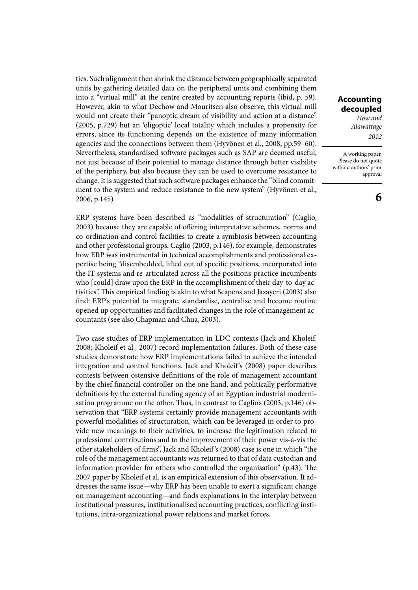ties. Such alignment then shrink the distance between geographically separated units by gathering detailed data on the peripheral units and combining them into a "virtual mill" at the centre created by accounting reports (ibid, p. 59). However, akin to what Dechow and Mouritsen also observe, this virtual mill would not create their "panoptic dream of visibility and action at a distance" (2005, p.729) but an 'oligoptic' local totality which includes a propensity for errors, since its functioning depends on the existence of many information agencies and the connections between them (Hyvönen et al., 2008, pp.59–60). Nevertheless, standardised software packages such as SAP are deemed useful, not just because of their potential to manage distance through better visibility of the periphery, but also because they can be used to overcome resistance to change. It is suggested that such software packages enhance the "blind commitment to the system and reduce resistance to the new system" (Hyvönen et al., 2006, p.145)

ERP systems have been described as "modalities of structuration" (Caglio, 2003) because they are capable of offering interpretative schemes, norms and co-ordination and control facilities to create a symbiosis between accounting and other professional groups. Caglio (2003, p.146), for example, demonstrates how ERP was instrumental in technical accomplishments and professional expertise being "disembedded, lifted out of specific positions, incorporated into the IT systems and re-articulated across all the positions-practice incumbents who [could] draw upon the ERP in the accomplishment of their day-to-day activities". This empirical finding is akin to what Scapens and Jazayeri (2003) also find: ERP's potential to integrate, standardise, centralise and become routine opened up opportunities and facilitated changes in the role of management accountants (see also Chapman and Chua, 2003).

Two case studies of ERP implementation in LDC contexts (Jack and Kholeif, 2008; Kholeif et al., 2007) record implementation failures. Both of these case studies demonstrate how ERP implementations failed to achieve the intended integration and control functions. Jack and Kholeif 's (2008) paper describes contests between ostensive definitions of the role of management accountant by the chief financial controller on the one hand, and politically performative definitions by the external funding agency of an Egyptian industrial modernisation programme on the other. Thus, in contrast to Caglio's (2003, p.146) observation that "ERP systems certainly provide management accountants with powerful modalities of structuration, which can be leveraged in order to provide new meanings to their activities, to increase the legitimation related to professional contributions and to the improvement of their power vis-à-vis the other stakeholders of firms", Jack and Kholeif 's (2008) case is one in which "the role of the management accountants was returned to that of data custodian and information provider for others who controlled the organisation" (p.43). The 2007 paper by Kholeif et al. is an empirical extension of this observation. It addresses the same issue—why ERP has been unable to exert a significant change on management accounting—and finds explanations in the interplay between institutional pressures, institutionalised accounting practices, conflicting institutions, intra-organizational power relations and market forces.

#### **Accounting decoupled**  *How and*

*Alawattage 2012*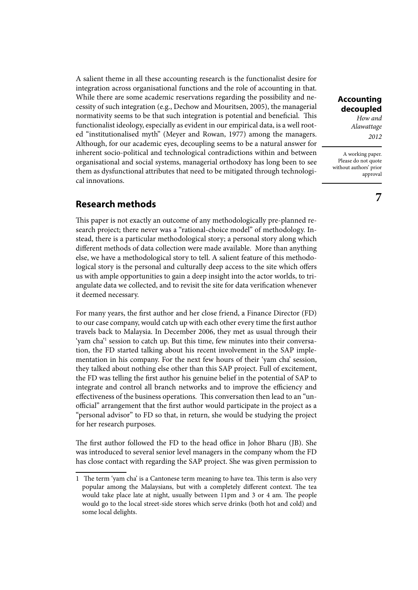A salient theme in all these accounting research is the functionalist desire for integration across organisational functions and the role of accounting in that. While there are some academic reservations regarding the possibility and necessity of such integration (e.g., Dechow and Mouritsen, 2005), the managerial normativity seems to be that such integration is potential and beneficial. This functionalist ideology, especially as evident in our empirical data, is a well rooted "institutionalised myth" (Meyer and Rowan, 1977) among the managers. Although, for our academic eyes, decoupling seems to be a natural answer for inherent socio-political and technological contradictions within and between organisational and social systems, managerial orthodoxy has long been to see them as dysfunctional attributes that need to be mitigated through technological innovations.

### **Research methods**

This paper is not exactly an outcome of any methodologically pre-planned research project; there never was a "rational-choice model" of methodology. Instead, there is a particular methodological story; a personal story along which different methods of data collection were made available. More than anything else, we have a methodological story to tell. A salient feature of this methodological story is the personal and culturally deep access to the site which offers us with ample opportunities to gain a deep insight into the actor worlds, to triangulate data we collected, and to revisit the site for data verification whenever it deemed necessary.

For many years, the first author and her close friend, a Finance Director (FD) to our case company, would catch up with each other every time the first author travels back to Malaysia. In December 2006, they met as usual through their 'yam cha'<sup>1</sup> session to catch up. But this time, few minutes into their conversation, the FD started talking about his recent involvement in the SAP implementation in his company. For the next few hours of their 'yam cha' session, they talked about nothing else other than this SAP project. Full of excitement, the FD was telling the first author his genuine belief in the potential of SAP to integrate and control all branch networks and to improve the efficiency and effectiveness of the business operations. This conversation then lead to an "unofficial" arrangement that the first author would participate in the project as a "personal advisor" to FD so that, in return, she would be studying the project for her research purposes.

The first author followed the FD to the head office in Johor Bharu (JB). She was introduced to several senior level managers in the company whom the FD has close contact with regarding the SAP project. She was given permission to **Accounting decoupled**  *How and* 

*Alawattage 2012*

<sup>1</sup> The term 'yam cha' is a Cantonese term meaning to have tea. This term is also very popular among the Malaysians, but with a completely different context. The tea would take place late at night, usually between 11pm and 3 or 4 am. The people would go to the local street-side stores which serve drinks (both hot and cold) and some local delights.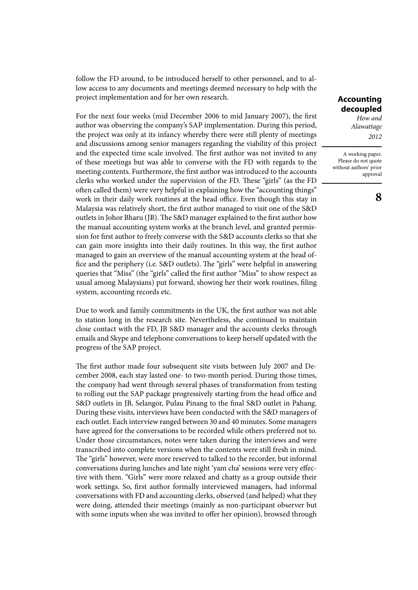follow the FD around, to be introduced herself to other personnel, and to allow access to any documents and meetings deemed necessary to help with the project implementation and for her own research.

For the next four weeks (mid December 2006 to mid January 2007), the first author was observing the company's SAP implementation. During this period, the project was only at its infancy whereby there were still plenty of meetings and discussions among senior managers regarding the viability of this project and the expected time scale involved. The first author was not invited to any of these meetings but was able to converse with the FD with regards to the meeting contents. Furthermore, the first author was introduced to the accounts clerks who worked under the supervision of the FD. These "girls" (as the FD often called them) were very helpful in explaining how the "accounting things" work in their daily work routines at the head office. Even though this stay in Malaysia was relatively short, the first author managed to visit one of the S&D outlets in Johor Bharu (JB). The S&D manager explained to the first author how the manual accounting system works at the branch level, and granted permission for first author to freely converse with the S&D accounts clerks so that she can gain more insights into their daily routines. In this way, the first author managed to gain an overview of the manual accounting system at the head office and the periphery (i.e. S&D outlets). The "girls" were helpful in answering queries that "Miss" (the "girls" called the first author "Miss" to show respect as usual among Malaysians) put forward, showing her their work routines, filing system, accounting records etc.

Due to work and family commitments in the UK, the first author was not able to station long in the research site. Nevertheless, she continued to maintain close contact with the FD, JB S&D manager and the accounts clerks through emails and Skype and telephone conversations to keep herself updated with the progress of the SAP project.

The first author made four subsequent site visits between July 2007 and December 2008, each stay lasted one- to two-month period. During those times, the company had went through several phases of transformation from testing to rolling out the SAP package progressively starting from the head office and S&D outlets in JB, Selangor, Pulau Pinang to the final S&D outlet in Pahang. During these visits, interviews have been conducted with the S&D managers of each outlet. Each interview ranged between 30 and 40 minutes. Some managers have agreed for the conversations to be recorded while others preferred not to. Under those circumstances, notes were taken during the interviews and were transcribed into complete versions when the contents were still fresh in mind. The "girls" however, were more reserved to talked to the recorder, but informal conversations during lunches and late night 'yam cha' sessions were very effective with them. "Girls" were more relaxed and chatty as a group outside their work settings. So, first author formally interviewed managers, had informal conversations with FD and accounting clerks, observed (and helped) what they were doing, attended their meetings (mainly as non-participant observer but with some inputs when she was invited to offer her opinion), browsed through

#### **Accounting decoupled**  *How and*

*Alawattage 2012*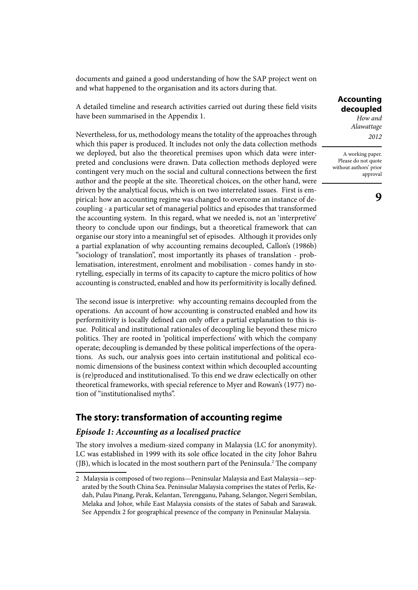documents and gained a good understanding of how the SAP project went on and what happened to the organisation and its actors during that.

A detailed timeline and research activities carried out during these field visits have been summarised in the Appendix 1.

Nevertheless, for us, methodology means the totality of the approaches through which this paper is produced. It includes not only the data collection methods we deployed, but also the theoretical premises upon which data were interpreted and conclusions were drawn. Data collection methods deployed were contingent very much on the social and cultural connections between the first author and the people at the site. Theoretical choices, on the other hand, were driven by the analytical focus, which is on two interrelated issues. First is empirical: how an accounting regime was changed to overcome an instance of decoupling - a particular set of managerial politics and episodes that transformed the accounting system. In this regard, what we needed is, not an 'interpretive' theory to conclude upon our findings, but a theoretical framework that can organise our story into a meaningful set of episodes. Although it provides only a partial explanation of why accounting remains decoupled, Callon's (1986b) "sociology of translation", most importantly its phases of translation - problematisation, interestment, enrolment and mobilisation - comes handy in storytelling, especially in terms of its capacity to capture the micro politics of how accounting is constructed, enabled and how its performitivity is locally defined.

The second issue is interpretive: why accounting remains decoupled from the operations. An account of how accounting is constructed enabled and how its performitivity is locally defined can only offer a partial explanation to this issue. Political and institutional rationales of decoupling lie beyond these micro politics. They are rooted in 'political imperfections' with which the company operate; decoupling is demanded by these political imperfections of the operations. As such, our analysis goes into certain institutional and political economic dimensions of the business context within which decoupled accounting is (re)produced and institutionalised. To this end we draw eclectically on other theoretical frameworks, with special reference to Myer and Rowan's (1977) notion of "institutionalised myths".

### **The story: transformation of accounting regime**

#### *Episode 1: Accounting as a localised practice*

The story involves a medium-sized company in Malaysia (LC for anonymity). LC was established in 1999 with its sole office located in the city Johor Bahru (JB), which is located in the most southern part of the Peninsula.<sup>2</sup> The company

#### **Accounting decoupled**  *How and*

*Alawattage 2012*

<sup>2</sup> Malaysia is composed of two regions—Peninsular Malaysia and East Malaysia—separated by the South China Sea. Peninsular Malaysia comprises the states of Perlis, Kedah, Pulau Pinang, Perak, Kelantan, Terengganu, Pahang, Selangor, Negeri Sembilan, Melaka and Johor, while East Malaysia consists of the states of Sabah and Sarawak. See Appendix 2 for geographical presence of the company in Peninsular Malaysia.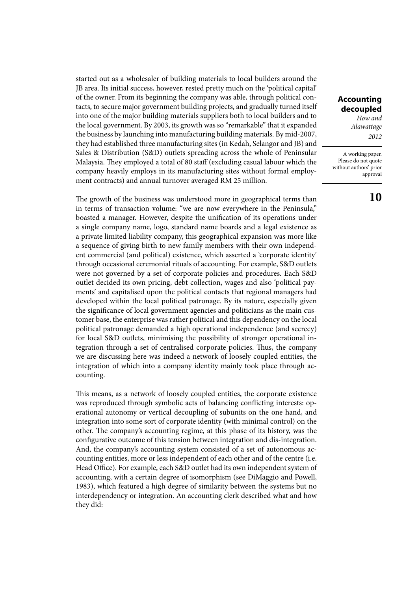started out as a wholesaler of building materials to local builders around the JB area. Its initial success, however, rested pretty much on the 'political capital' of the owner. From its beginning the company was able, through political contacts, to secure major government building projects, and gradually turned itself into one of the major building materials suppliers both to local builders and to the local government. By 2003, its growth was so "remarkable" that it expanded the business by launching into manufacturing building materials. By mid-2007, they had established three manufacturing sites (in Kedah, Selangor and JB) and Sales & Distribution (S&D) outlets spreading across the whole of Peninsular Malaysia. They employed a total of 80 staff (excluding casual labour which the company heavily employs in its manufacturing sites without formal employment contracts) and annual turnover averaged RM 25 million.

The growth of the business was understood more in geographical terms than in terms of transaction volume: "we are now everywhere in the Peninsula," boasted a manager. However, despite the unification of its operations under a single company name, logo, standard name boards and a legal existence as a private limited liability company, this geographical expansion was more like a sequence of giving birth to new family members with their own independent commercial (and political) existence, which asserted a 'corporate identity' through occasional ceremonial rituals of accounting. For example, S&D outlets were not governed by a set of corporate policies and procedures. Each S&D outlet decided its own pricing, debt collection, wages and also 'political payments' and capitalised upon the political contacts that regional managers had developed within the local political patronage. By its nature, especially given the significance of local government agencies and politicians as the main customer base, the enterprise was rather political and this dependency on the local political patronage demanded a high operational independence (and secrecy) for local S&D outlets, minimising the possibility of stronger operational integration through a set of centralised corporate policies. Thus, the company we are discussing here was indeed a network of loosely coupled entities, the integration of which into a company identity mainly took place through accounting.

This means, as a network of loosely coupled entities, the corporate existence was reproduced through symbolic acts of balancing conflicting interests: operational autonomy or vertical decoupling of subunits on the one hand, and integration into some sort of corporate identity (with minimal control) on the other. The company's accounting regime, at this phase of its history, was the configurative outcome of this tension between integration and dis-integration. And, the company's accounting system consisted of a set of autonomous accounting entities, more or less independent of each other and of the centre (i.e. Head Office). For example, each S&D outlet had its own independent system of accounting, with a certain degree of isomorphism (see DiMaggio and Powell, 1983), which featured a high degree of similarity between the systems but no interdependency or integration. An accounting clerk described what and how they did:

#### **Accounting decoupled**  *How and*

*Alawattage 2012*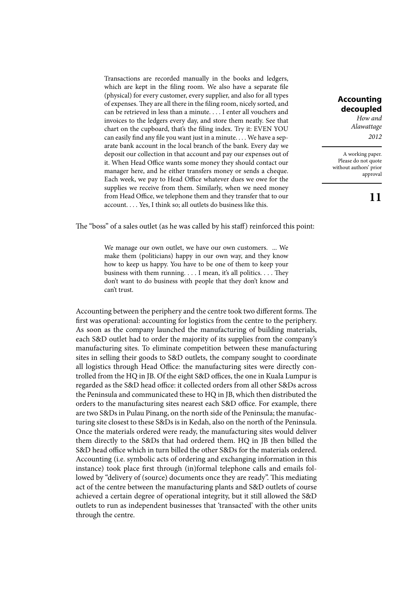Transactions are recorded manually in the books and ledgers, which are kept in the filing room. We also have a separate file (physical) for every customer, every supplier, and also for all types of expenses. They are all there in the filing room, nicely sorted, and can be retrieved in less than a minute. . . . I enter all vouchers and invoices to the ledgers every day, and store them neatly. See that chart on the cupboard, that's the filing index. Try it: EVEN YOU can easily find any file you want just in a minute. . . . We have a separate bank account in the local branch of the bank. Every day we deposit our collection in that account and pay our expenses out of it. When Head Office wants some money they should contact our manager here, and he either transfers money or sends a cheque. Each week, we pay to Head Office whatever dues we owe for the supplies we receive from them. Similarly, when we need money from Head Office, we telephone them and they transfer that to our account. . . . Yes, I think so; all outlets do business like this.

**Accounting decoupled**  *How and* 

*Alawattage 2012*

A working paper. Please do not quote without authors' prior approval

**11**

The "boss" of a sales outlet (as he was called by his staff) reinforced this point:

We manage our own outlet, we have our own customers. ... We make them (politicians) happy in our own way, and they know how to keep us happy. You have to be one of them to keep your business with them running.  $\ldots$  I mean, it's all politics.  $\ldots$  They don't want to do business with people that they don't know and can't trust.

Accounting between the periphery and the centre took two different forms. The first was operational: accounting for logistics from the centre to the periphery. As soon as the company launched the manufacturing of building materials, each S&D outlet had to order the majority of its supplies from the company's manufacturing sites. To eliminate competition between these manufacturing sites in selling their goods to S&D outlets, the company sought to coordinate all logistics through Head Office: the manufacturing sites were directly controlled from the HQ in JB. Of the eight S&D offices, the one in Kuala Lumpur is regarded as the S&D head office: it collected orders from all other S&Ds across the Peninsula and communicated these to HQ in JB, which then distributed the orders to the manufacturing sites nearest each S&D office. For example, there are two S&Ds in Pulau Pinang, on the north side of the Peninsula; the manufacturing site closest to these S&Ds is in Kedah, also on the north of the Peninsula. Once the materials ordered were ready, the manufacturing sites would deliver them directly to the S&Ds that had ordered them. HQ in JB then billed the S&D head office which in turn billed the other S&Ds for the materials ordered. Accounting (i.e. symbolic acts of ordering and exchanging information in this instance) took place first through (in)formal telephone calls and emails followed by "delivery of (source) documents once they are ready". This mediating act of the centre between the manufacturing plants and S&D outlets of course achieved a certain degree of operational integrity, but it still allowed the S&D outlets to run as independent businesses that 'transacted' with the other units through the centre.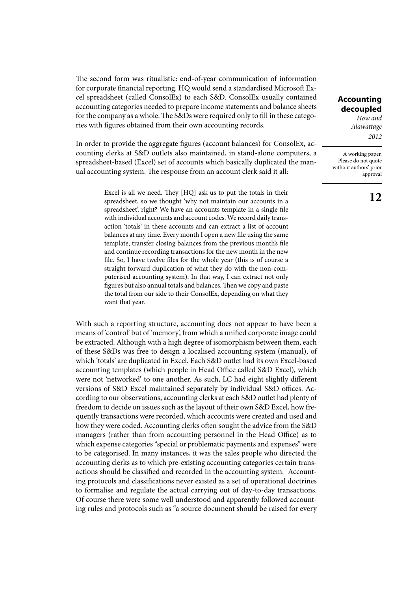The second form was ritualistic: end-of-year communication of information for corporate financial reporting. HQ would send a standardised Microsoft Excel spreadsheet (called ConsolEx) to each S&D. ConsolEx usually contained accounting categories needed to prepare income statements and balance sheets for the company as a whole. The S&Ds were required only to fill in these categories with figures obtained from their own accounting records.

In order to provide the aggregate figures (account balances) for ConsolEx, accounting clerks at S&D outlets also maintained, in stand-alone computers, a spreadsheet-based (Excel) set of accounts which basically duplicated the manual accounting system. The response from an account clerk said it all:

> Excel is all we need. They [HQ] ask us to put the totals in their spreadsheet, so we thought 'why not maintain our accounts in a spreadsheet', right? We have an accounts template in a single file with individual accounts and account codes. We record daily transaction 'totals' in these accounts and can extract a list of account balances at any time. Every month I open a new file using the same template, transfer closing balances from the previous month's file and continue recording transactions for the new month in the new file. So, I have twelve files for the whole year (this is of course a straight forward duplication of what they do with the non-computerised accounting system). In that way, I can extract not only figures but also annual totals and balances. Then we copy and paste the total from our side to their ConsolEx, depending on what they want that year.

With such a reporting structure, accounting does not appear to have been a means of 'control' but of 'memory', from which a unified corporate image could be extracted. Although with a high degree of isomorphism between them, each of these S&Ds was free to design a localised accounting system (manual), of which 'totals' are duplicated in Excel. Each S&D outlet had its own Excel-based accounting templates (which people in Head Office called S&D Excel), which were not 'networked' to one another. As such, LC had eight slightly different versions of S&D Excel maintained separately by individual S&D offices. According to our observations, accounting clerks at each S&D outlet had plenty of freedom to decide on issues such as the layout of their own S&D Excel, how frequently transactions were recorded, which accounts were created and used and how they were coded. Accounting clerks often sought the advice from the S&D managers (rather than from accounting personnel in the Head Office) as to which expense categories "special or problematic payments and expenses" were to be categorised. In many instances, it was the sales people who directed the accounting clerks as to which pre-existing accounting categories certain transactions should be classified and recorded in the accounting system. Accounting protocols and classifications never existed as a set of operational doctrines to formalise and regulate the actual carrying out of day-to-day transactions. Of course there were some well understood and apparently followed accounting rules and protocols such as "a source document should be raised for every

#### **Accounting decoupled**  *How and*

*Alawattage 2012*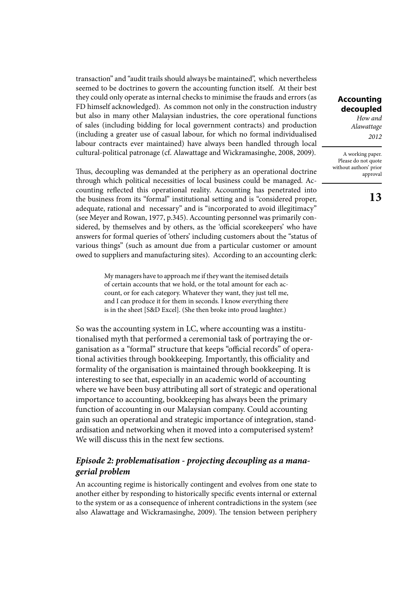transaction" and "audit trails should always be maintained", which nevertheless seemed to be doctrines to govern the accounting function itself. At their best they could only operate as internal checks to minimise the frauds and errors (as FD himself acknowledged). As common not only in the construction industry but also in many other Malaysian industries, the core operational functions of sales (including bidding for local government contracts) and production (including a greater use of casual labour, for which no formal individualised labour contracts ever maintained) have always been handled through local cultural-political patronage (cf. Alawattage and Wickramasinghe, 2008, 2009).

Thus, decoupling was demanded at the periphery as an operational doctrine through which political necessities of local business could be managed. Accounting reflected this operational reality. Accounting has penetrated into the business from its "formal" institutional setting and is "considered proper, adequate, rational and necessary" and is "incorporated to avoid illegitimacy" (see Meyer and Rowan, 1977, p.345). Accounting personnel was primarily considered, by themselves and by others, as the 'official scorekeepers' who have answers for formal queries of 'others' including customers about the "status of various things" (such as amount due from a particular customer or amount owed to suppliers and manufacturing sites). According to an accounting clerk:

> My managers have to approach me if they want the itemised details of certain accounts that we hold, or the total amount for each account, or for each category. Whatever they want, they just tell me, and I can produce it for them in seconds. I know everything there is in the sheet [S&D Excel]. (She then broke into proud laughter.)

So was the accounting system in LC, where accounting was a institutionalised myth that performed a ceremonial task of portraying the organisation as a "formal" structure that keeps "official records" of operational activities through bookkeeping. Importantly, this officiality and formality of the organisation is maintained through bookkeeping. It is interesting to see that, especially in an academic world of accounting where we have been busy attributing all sort of strategic and operational importance to accounting, bookkeeping has always been the primary function of accounting in our Malaysian company. Could accounting gain such an operational and strategic importance of integration, standardisation and networking when it moved into a computerised system? We will discuss this in the next few sections.

### *Episode 2: problematisation - projecting decoupling as a managerial problem*

An accounting regime is historically contingent and evolves from one state to another either by responding to historically specific events internal or external to the system or as a consequence of inherent contradictions in the system (see also Alawattage and Wickramasinghe, 2009). The tension between periphery

#### **Accounting decoupled**  *How and*

*Alawattage 2012*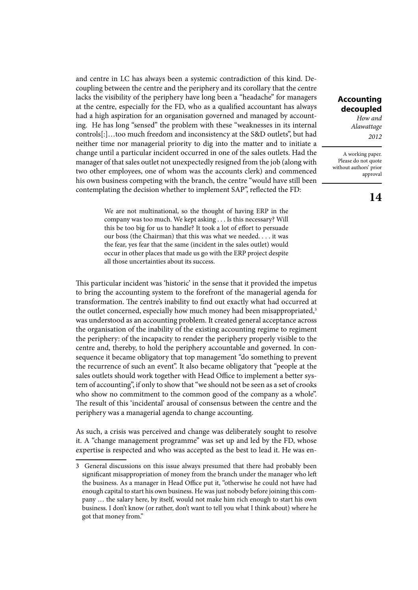and centre in LC has always been a systemic contradiction of this kind. Decoupling between the centre and the periphery and its corollary that the centre lacks the visibility of the periphery have long been a "headache" for managers at the centre, especially for the FD, who as a qualified accountant has always had a high aspiration for an organisation governed and managed by accounting. He has long "sensed" the problem with these "weaknesses in its internal controls[:]…too much freedom and inconsistency at the S&D outlets", but had neither time nor managerial priority to dig into the matter and to initiate a change until a particular incident occurred in one of the sales outlets. Had the manager of that sales outlet not unexpectedly resigned from the job (along with two other employees, one of whom was the accounts clerk) and commenced his own business competing with the branch, the centre "would have still been contemplating the decision whether to implement SAP", reflected the FD:

> We are not multinational, so the thought of having ERP in the company was too much. We kept asking . . . Is this necessary? Will this be too big for us to handle? It took a lot of effort to persuade our boss (the Chairman) that this was what we needed. . . . it was the fear, yes fear that the same (incident in the sales outlet) would occur in other places that made us go with the ERP project despite all those uncertainties about its success.

This particular incident was 'historic' in the sense that it provided the impetus to bring the accounting system to the forefront of the managerial agenda for transformation. The centre's inability to find out exactly what had occurred at the outlet concerned, especially how much money had been misappropriated,<sup>3</sup> was understood as an accounting problem. It created general acceptance across the organisation of the inability of the existing accounting regime to regiment the periphery: of the incapacity to render the periphery properly visible to the centre and, thereby, to hold the periphery accountable and governed. In consequence it became obligatory that top management "do something to prevent the recurrence of such an event". It also became obligatory that "people at the sales outlets should work together with Head Office to implement a better system of accounting", if only to show that "we should not be seen as a set of crooks who show no commitment to the common good of the company as a whole". The result of this 'incidental' arousal of consensus between the centre and the periphery was a managerial agenda to change accounting.

As such, a crisis was perceived and change was deliberately sought to resolve it. A "change management programme" was set up and led by the FD, whose expertise is respected and who was accepted as the best to lead it. He was en-

### **Accounting decoupled**

*How and Alawattage 2012*

<sup>3</sup> General discussions on this issue always presumed that there had probably been significant misappropriation of money from the branch under the manager who left the business. As a manager in Head Office put it, "otherwise he could not have had enough capital to start his own business. He was just nobody before joining this company … the salary here, by itself, would not make him rich enough to start his own business. I don't know (or rather, don't want to tell you what I think about) where he got that money from."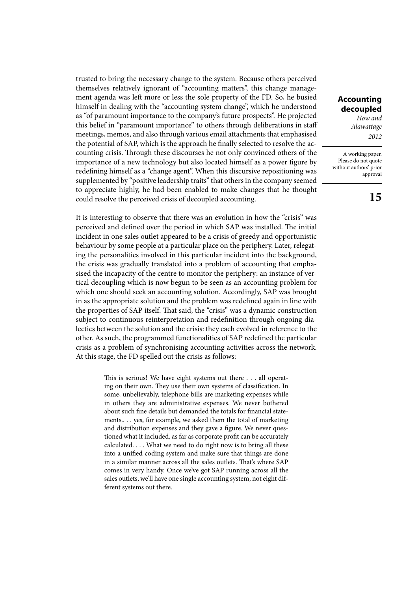trusted to bring the necessary change to the system. Because others perceived themselves relatively ignorant of "accounting matters", this change management agenda was left more or less the sole property of the FD. So, he busied himself in dealing with the "accounting system change", which he understood as "of paramount importance to the company's future prospects". He projected this belief in "paramount importance" to others through deliberations in staff meetings, memos, and also through various email attachments that emphasised the potential of SAP, which is the approach he finally selected to resolve the accounting crisis. Through these discourses he not only convinced others of the importance of a new technology but also located himself as a power figure by redefining himself as a "change agent". When this discursive repositioning was supplemented by "positive leadership traits" that others in the company seemed to appreciate highly, he had been enabled to make changes that he thought could resolve the perceived crisis of decoupled accounting.

It is interesting to observe that there was an evolution in how the "crisis" was perceived and defined over the period in which SAP was installed. The initial incident in one sales outlet appeared to be a crisis of greedy and opportunistic behaviour by some people at a particular place on the periphery. Later, relegating the personalities involved in this particular incident into the background, the crisis was gradually translated into a problem of accounting that emphasised the incapacity of the centre to monitor the periphery: an instance of vertical decoupling which is now begun to be seen as an accounting problem for which one should seek an accounting solution. Accordingly, SAP was brought in as the appropriate solution and the problem was redefined again in line with the properties of SAP itself. That said, the "crisis" was a dynamic construction subject to continuous reinterpretation and redefinition through ongoing dialectics between the solution and the crisis: they each evolved in reference to the other. As such, the programmed functionalities of SAP redefined the particular crisis as a problem of synchronising accounting activities across the network. At this stage, the FD spelled out the crisis as follows:

> This is serious! We have eight systems out there . . . all operating on their own. They use their own systems of classification. In some, unbelievably, telephone bills are marketing expenses while in others they are administrative expenses. We never bothered about such fine details but demanded the totals for financial statements.. . . yes, for example, we asked them the total of marketing and distribution expenses and they gave a figure. We never questioned what it included, as far as corporate profit can be accurately calculated. . . . What we need to do right now is to bring all these into a unified coding system and make sure that things are done in a similar manner across all the sales outlets. That's where SAP comes in very handy. Once we've got SAP running across all the sales outlets, we'll have one single accounting system, not eight different systems out there.

#### **Accounting decoupled**  *How and*

*Alawattage 2012*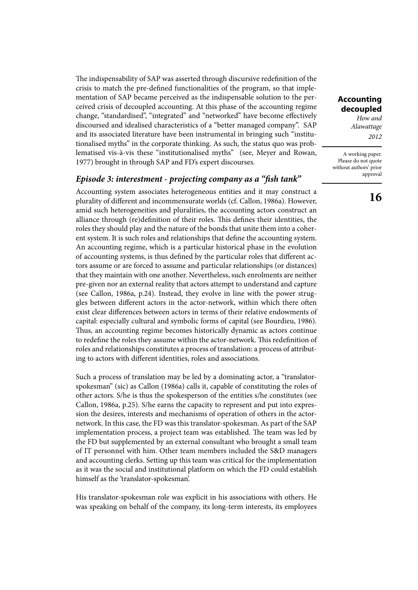The indispensability of SAP was asserted through discursive redefinition of the crisis to match the pre-defined functionalities of the program, so that implementation of SAP became perceived as the indispensable solution to the perceived crisis of decoupled accounting. At this phase of the accounting regime change, "standardised", "integrated" and "networked" have become effectively discoursed and idealised characteristics of a "better managed company". SAP and its associated literature have been instrumental in bringing such "institutionalised myths" in the corporate thinking. As such, the status quo was problematised vis-à-vis these "institutionalised myths" (see, Meyer and Rowan, 1977) brought in through SAP and FD's expert discourses.

#### *Episode 3: interestment - projecting company as a "fish tank"*

Accounting system associates heterogeneous entities and it may construct a plurality of different and incommensurate worlds (cf. Callon, 1986a). However, amid such heterogeneities and pluralities, the accounting actors construct an alliance through (re)definition of their roles. This defines their identities, the roles they should play and the nature of the bonds that unite them into a coherent system. It is such roles and relationships that define the accounting system. An accounting regime, which is a particular historical phase in the evolution of accounting systems, is thus defined by the particular roles that different actors assume or are forced to assume and particular relationships (or distances) that they maintain with one another. Nevertheless, such enrolments are neither pre-given nor an external reality that actors attempt to understand and capture (see Callon, 1986a, p.24). Instead, they evolve in line with the power struggles between different actors in the actor-network, within which there often exist clear differences between actors in terms of their relative endowments of capital: especially cultural and symbolic forms of capital (see Bourdieu, 1986). Thus, an accounting regime becomes historically dynamic as actors continue to redefine the roles they assume within the actor-network. This redefinition of roles and relationships constitutes a process of translation: a process of attributing to actors with different identities, roles and associations.

Such a process of translation may be led by a dominating actor, a "translatorspokesman" (sic) as Callon (1986a) calls it, capable of constituting the roles of other actors. S/he is thus the spokesperson of the entities s/he constitutes (see Callon, 1986a, p.25). S/he earns the capacity to represent and put into expression the desires, interests and mechanisms of operation of others in the actornetwork. In this case, the FD was this translator-spokesman. As part of the SAP implementation process, a project team was established. The team was led by the FD but supplemented by an external consultant who brought a small team of IT personnel with him. Other team members included the S&D managers and accounting clerks. Setting up this team was critical for the implementation as it was the social and institutional platform on which the FD could establish himself as the 'translator-spokesman'.

His translator-spokesman role was explicit in his associations with others. He was speaking on behalf of the company, its long-term interests, its employees

#### **Accounting decoupled**  *How and*

*Alawattage 2012*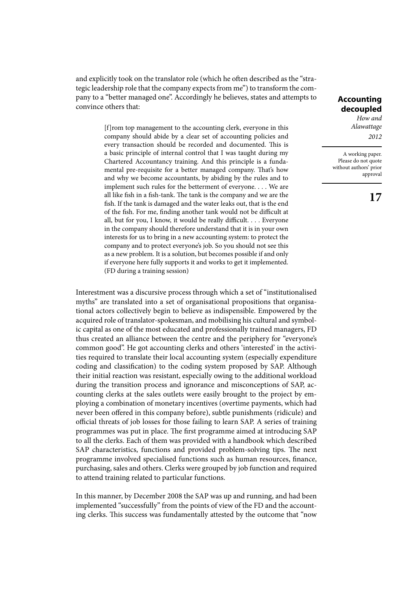and explicitly took on the translator role (which he often described as the "strategic leadership role that the company expects from me") to transform the company to a "better managed one". Accordingly he believes, states and attempts to convince others that:

> [f]rom top management to the accounting clerk, everyone in this company should abide by a clear set of accounting policies and every transaction should be recorded and documented. This is a basic principle of internal control that I was taught during my Chartered Accountancy training. And this principle is a fundamental pre-requisite for a better managed company. That's how and why we become accountants, by abiding by the rules and to implement such rules for the betterment of everyone. . . . We are all like fish in a fish-tank. The tank is the company and we are the fish. If the tank is damaged and the water leaks out, that is the end of the fish. For me, finding another tank would not be difficult at all, but for you, I know, it would be really difficult. . . . Everyone in the company should therefore understand that it is in your own interests for us to bring in a new accounting system: to protect the company and to protect everyone's job. So you should not see this as a new problem. It is a solution, but becomes possible if and only if everyone here fully supports it and works to get it implemented. (FD during a training session)

Interestment was a discursive process through which a set of "institutionalised myths" are translated into a set of organisational propositions that organisational actors collectively begin to believe as indispensible. Empowered by the acquired role of translator-spokesman, and mobilising his cultural and symbolic capital as one of the most educated and professionally trained managers, FD thus created an alliance between the centre and the periphery for "everyone's common good". He got accounting clerks and others 'interested' in the activities required to translate their local accounting system (especially expenditure coding and classification) to the coding system proposed by SAP. Although their initial reaction was resistant, especially owing to the additional workload during the transition process and ignorance and misconceptions of SAP, accounting clerks at the sales outlets were easily brought to the project by employing a combination of monetary incentives (overtime payments, which had never been offered in this company before), subtle punishments (ridicule) and official threats of job losses for those failing to learn SAP. A series of training programmes was put in place. The first programme aimed at introducing SAP to all the clerks. Each of them was provided with a handbook which described SAP characteristics, functions and provided problem-solving tips. The next programme involved specialised functions such as human resources, finance, purchasing, sales and others. Clerks were grouped by job function and required to attend training related to particular functions.

In this manner, by December 2008 the SAP was up and running, and had been implemented "successfully" from the points of view of the FD and the accounting clerks. This success was fundamentally attested by the outcome that "now

#### **Accounting decoupled**  *How and*

*Alawattage 2012*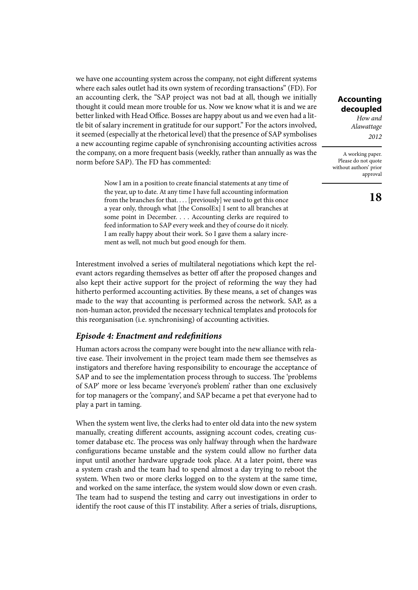we have one accounting system across the company, not eight different systems where each sales outlet had its own system of recording transactions" (FD). For an accounting clerk, the "SAP project was not bad at all, though we initially thought it could mean more trouble for us. Now we know what it is and we are better linked with Head Office. Bosses are happy about us and we even had a little bit of salary increment in gratitude for our support." For the actors involved, it seemed (especially at the rhetorical level) that the presence of SAP symbolises a new accounting regime capable of synchronising accounting activities across the company, on a more frequent basis (weekly, rather than annually as was the norm before SAP). The FD has commented:

> Now I am in a position to create financial statements at any time of the year, up to date. At any time I have full accounting information from the branches for that. . . . [previously] we used to get this once a year only, through what [the ConsolEx] I sent to all branches at some point in December. . . . Accounting clerks are required to feed information to SAP every week and they of course do it nicely. I am really happy about their work. So I gave them a salary increment as well, not much but good enough for them.

Interestment involved a series of multilateral negotiations which kept the relevant actors regarding themselves as better off after the proposed changes and also kept their active support for the project of reforming the way they had hitherto performed accounting activities. By these means, a set of changes was made to the way that accounting is performed across the network. SAP, as a non-human actor, provided the necessary technical templates and protocols for this reorganisation (i.e. synchronising) of accounting activities.

### *Episode 4: Enactment and redefinitions*

Human actors across the company were bought into the new alliance with relative ease. Their involvement in the project team made them see themselves as instigators and therefore having responsibility to encourage the acceptance of SAP and to see the implementation process through to success. The 'problems of SAP' more or less became 'everyone's problem' rather than one exclusively for top managers or the 'company', and SAP became a pet that everyone had to play a part in taming.

When the system went live, the clerks had to enter old data into the new system manually, creating different accounts, assigning account codes, creating customer database etc. The process was only halfway through when the hardware configurations became unstable and the system could allow no further data input until another hardware upgrade took place. At a later point, there was a system crash and the team had to spend almost a day trying to reboot the system. When two or more clerks logged on to the system at the same time, and worked on the same interface, the system would slow down or even crash. The team had to suspend the testing and carry out investigations in order to identify the root cause of this IT instability. After a series of trials, disruptions,

#### **Accounting decoupled**  *How and*

*Alawattage 2012*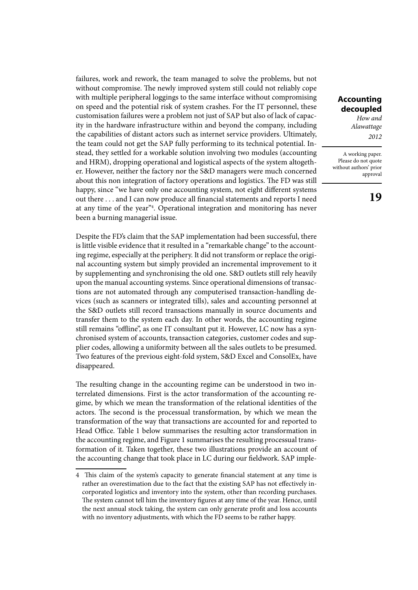failures, work and rework, the team managed to solve the problems, but not without compromise. The newly improved system still could not reliably cope with multiple peripheral loggings to the same interface without compromising on speed and the potential risk of system crashes. For the IT personnel, these customisation failures were a problem not just of SAP but also of lack of capacity in the hardware infrastructure within and beyond the company, including the capabilities of distant actors such as internet service providers. Ultimately, the team could not get the SAP fully performing to its technical potential. Instead, they settled for a workable solution involving two modules (accounting and HRM), dropping operational and logistical aspects of the system altogether. However, neither the factory nor the S&D managers were much concerned about this non integration of factory operations and logistics. The FD was still happy, since "we have only one accounting system, not eight different systems out there . . . and I can now produce all financial statements and reports I need at any time of the year"4 . Operational integration and monitoring has never been a burning managerial issue.

Despite the FD's claim that the SAP implementation had been successful, there is little visible evidence that it resulted in a "remarkable change" to the accounting regime, especially at the periphery. It did not transform or replace the original accounting system but simply provided an incremental improvement to it by supplementing and synchronising the old one. S&D outlets still rely heavily upon the manual accounting systems. Since operational dimensions of transactions are not automated through any computerised transaction-handling devices (such as scanners or integrated tills), sales and accounting personnel at the S&D outlets still record transactions manually in source documents and transfer them to the system each day. In other words, the accounting regime still remains "offline", as one IT consultant put it. However, LC now has a synchronised system of accounts, transaction categories, customer codes and supplier codes, allowing a uniformity between all the sales outlets to be presumed. Two features of the previous eight-fold system, S&D Excel and ConsolEx, have disappeared.

The resulting change in the accounting regime can be understood in two interrelated dimensions. First is the actor transformation of the accounting regime, by which we mean the transformation of the relational identities of the actors. The second is the processual transformation, by which we mean the transformation of the way that transactions are accounted for and reported to Head Office. Table 1 below summarises the resulting actor transformation in the accounting regime, and Figure 1 summarises the resulting processual transformation of it. Taken together, these two illustrations provide an account of the accounting change that took place in LC during our fieldwork. SAP imple-

#### **Accounting decoupled**  *How and*

*Alawattage 2012*

<sup>4</sup> This claim of the system's capacity to generate financial statement at any time is rather an overestimation due to the fact that the existing SAP has not effectively incorporated logistics and inventory into the system, other than recording purchases. The system cannot tell him the inventory figures at any time of the year. Hence, until the next annual stock taking, the system can only generate profit and loss accounts with no inventory adjustments, with which the FD seems to be rather happy.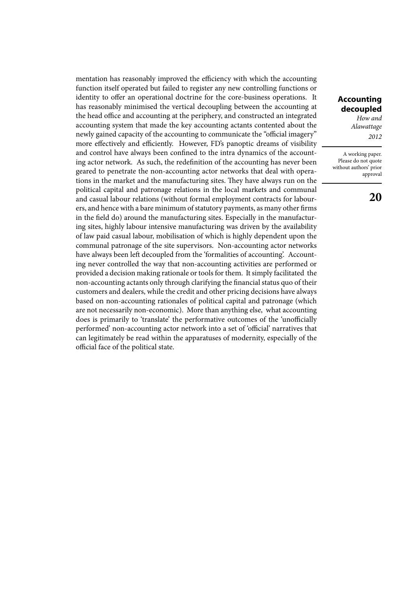mentation has reasonably improved the efficiency with which the accounting function itself operated but failed to register any new controlling functions or identity to offer an operational doctrine for the core-business operations. It has reasonably minimised the vertical decoupling between the accounting at the head office and accounting at the periphery, and constructed an integrated accounting system that made the key accounting actants contented about the newly gained capacity of the accounting to communicate the "official imagery" more effectively and efficiently. However, FD's panoptic dreams of visibility and control have always been confined to the intra dynamics of the accounting actor network. As such, the redefinition of the accounting has never been geared to penetrate the non-accounting actor networks that deal with operations in the market and the manufacturing sites. They have always run on the political capital and patronage relations in the local markets and communal and casual labour relations (without formal employment contracts for labourers, and hence with a bare minimum of statutory payments, as many other firms in the field do) around the manufacturing sites. Especially in the manufacturing sites, highly labour intensive manufacturing was driven by the availability of law paid casual labour, mobilisation of which is highly dependent upon the communal patronage of the site supervisors. Non-accounting actor networks have always been left decoupled from the 'formalities of accounting'. Accounting never controlled the way that non-accounting activities are performed or provided a decision making rationale or tools for them. It simply facilitated the non-accounting actants only through clarifying the financial status quo of their customers and dealers, while the credit and other pricing decisions have always based on non-accounting rationales of political capital and patronage (which are not necessarily non-economic). More than anything else, what accounting does is primarily to 'translate' the performative outcomes of the 'unofficially performed' non-accounting actor network into a set of 'official' narratives that can legitimately be read within the apparatuses of modernity, especially of the official face of the political state.

#### **Accounting decoupled**  *How and*

*Alawattage 2012*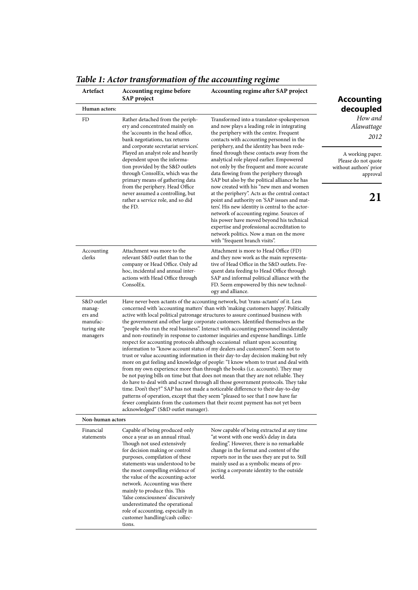| Artefact                                                               | Accounting regime before<br><b>SAP</b> project                                                                                                                                                                                                                                                                                                                                                                                                                                                                                                                                                                                                                                                                                                                                                                                                                                                                                                                                                                                                                                                                                                                                                                                                                                                                                                                                                                                         | Accounting regime after SAP project                                                                                                                                                                                                                                                                                                                                                                               | Accounting                                                                    |
|------------------------------------------------------------------------|----------------------------------------------------------------------------------------------------------------------------------------------------------------------------------------------------------------------------------------------------------------------------------------------------------------------------------------------------------------------------------------------------------------------------------------------------------------------------------------------------------------------------------------------------------------------------------------------------------------------------------------------------------------------------------------------------------------------------------------------------------------------------------------------------------------------------------------------------------------------------------------------------------------------------------------------------------------------------------------------------------------------------------------------------------------------------------------------------------------------------------------------------------------------------------------------------------------------------------------------------------------------------------------------------------------------------------------------------------------------------------------------------------------------------------------|-------------------------------------------------------------------------------------------------------------------------------------------------------------------------------------------------------------------------------------------------------------------------------------------------------------------------------------------------------------------------------------------------------------------|-------------------------------------------------------------------------------|
| Human actors:                                                          |                                                                                                                                                                                                                                                                                                                                                                                                                                                                                                                                                                                                                                                                                                                                                                                                                                                                                                                                                                                                                                                                                                                                                                                                                                                                                                                                                                                                                                        |                                                                                                                                                                                                                                                                                                                                                                                                                   | decoupled                                                                     |
| FD                                                                     | Rather detached from the periph-<br>ery and concentrated mainly on<br>the 'accounts in the head office,<br>bank negotiations, tax returns<br>and corporate secretariat services'.                                                                                                                                                                                                                                                                                                                                                                                                                                                                                                                                                                                                                                                                                                                                                                                                                                                                                                                                                                                                                                                                                                                                                                                                                                                      | Transformed into a translator-spokesperson<br>and now plays a leading role in integrating<br>the periphery with the centre. Frequent<br>contacts with accounting personnel in the<br>periphery, and the identity has been rede-                                                                                                                                                                                   | How and<br>Alawattage<br>2012                                                 |
|                                                                        | Played an analyst role and heavily<br>dependent upon the informa-<br>tion provided by the S&D outlets<br>through ConsolEx, which was the<br>primary means of gathering data                                                                                                                                                                                                                                                                                                                                                                                                                                                                                                                                                                                                                                                                                                                                                                                                                                                                                                                                                                                                                                                                                                                                                                                                                                                            | fined through these contacts away from the<br>analytical role played earlier. Empowered<br>not only by the frequent and more accurate<br>data flowing from the periphery through<br>SAP but also by the political alliance he has                                                                                                                                                                                 | A working paper.<br>Please do not quote<br>without authors' prior<br>approval |
|                                                                        | from the periphery. Head Office<br>never assumed a controlling, but<br>rather a service role, and so did<br>the FD.                                                                                                                                                                                                                                                                                                                                                                                                                                                                                                                                                                                                                                                                                                                                                                                                                                                                                                                                                                                                                                                                                                                                                                                                                                                                                                                    | now created with his "new men and women<br>at the periphery". Acts as the central contact<br>point and authority on 'SAP issues and mat-<br>ters'. His new identity is central to the actor-<br>network of accounting regime. Sources of<br>his power have moved beyond his technical<br>expertise and professional accreditation to<br>network politics. Now a man on the move<br>with "frequent branch visits". | 21                                                                            |
| Accounting<br>clerks                                                   | Attachment was more to the<br>relevant S&D outlet than to the<br>company or Head Office. Only ad<br>hoc, incidental and annual inter-<br>actions with Head Office through<br>ConsolEx.                                                                                                                                                                                                                                                                                                                                                                                                                                                                                                                                                                                                                                                                                                                                                                                                                                                                                                                                                                                                                                                                                                                                                                                                                                                 | Attachment is more to Head Office (FD)<br>and they now work as the main representa-<br>tive of Head Office in the S&D outlets. Fre-<br>quent data feeding to Head Office through<br>SAP and informal political alliance with the<br>FD. Seem empowered by this new technol-<br>ogy and alliance.                                                                                                                  |                                                                               |
| S&D outlet<br>manag-<br>ers and<br>manufac-<br>turing site<br>managers | Have never been actants of the accounting network, but 'trans-actants' of it. Less<br>concerned with 'accounting matters' than with 'making customers happy'. Politically<br>active with local political patronage structures to assure continued business with<br>the government and other large corporate customers. Identified themselves as the<br>"people who run the real business". Interact with accounting personnel incidentally<br>and non-routinely in response to customer inquiries and expense handlings. Little<br>respect for accounting protocols although occasional reliant upon accounting<br>information to "know account status of my dealers and customers". Seem not to<br>trust or value accounting information in their day-to-day decision making but rely<br>more on gut feeling and knowledge of people: "I know whom to trust and deal with<br>from my own experience more than through the books (i.e. accounts). They may<br>be not paying bills on time but that does not mean that they are not reliable. They<br>do have to deal with and scrawl through all those government protocols. They take<br>time. Don't they?" SAP has not made a noticeable difference to their day-to-day<br>patterns of operation, except that they seem "pleased to see that I now have far<br>fewer complaints from the customers that their recent payment has not yet been<br>acknowledged" (S&D outlet manager). |                                                                                                                                                                                                                                                                                                                                                                                                                   |                                                                               |
| Non-human actors                                                       |                                                                                                                                                                                                                                                                                                                                                                                                                                                                                                                                                                                                                                                                                                                                                                                                                                                                                                                                                                                                                                                                                                                                                                                                                                                                                                                                                                                                                                        |                                                                                                                                                                                                                                                                                                                                                                                                                   |                                                                               |
| Financial<br>statements                                                | Capable of being produced only<br>once a year as an annual ritual.<br>Though not used extensively<br>for decision making or control<br>purposes, compilation of these<br>statements was understood to be<br>the most compelling evidence of<br>the value of the accounting-actor<br>network. Accounting was there<br>mainly to produce this. This<br>'false consciousness' discursively<br>underestimated the operational<br>role of accounting, especially in<br>customer handling/cash collec-<br>tions.                                                                                                                                                                                                                                                                                                                                                                                                                                                                                                                                                                                                                                                                                                                                                                                                                                                                                                                             | Now capable of being extracted at any time<br>"at worst with one week's delay in data<br>feeding". However, there is no remarkable<br>change in the format and content of the<br>reports nor in the uses they are put to. Still<br>mainly used as a symbolic means of pro-<br>jecting a corporate identity to the outside<br>world.                                                                               |                                                                               |

*Table 1: Actor transformation of the accounting regime*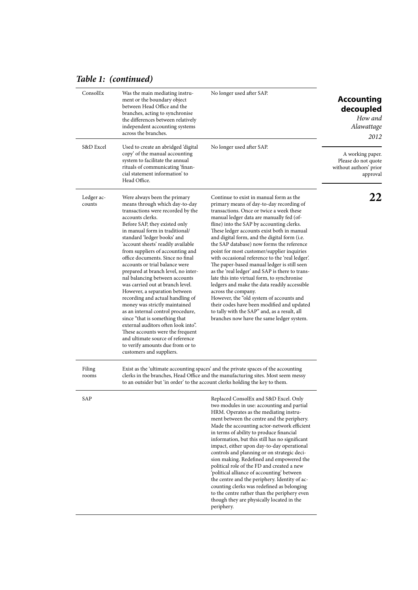# *Table 1: (continued)*

| ConsolEx             | Was the main mediating instru-<br>ment or the boundary object<br>between Head Office and the<br>branches, acting to synchronise<br>the differences between relatively<br>independent accounting systems<br>across the branches.                                                                                                                                                                                                                                                                                                                                                                                                                                                                                                                                                                                                                   | No longer used after SAP.                                                                                                                                                                                                                                                                                                                                                                                                                                                                                                                                                                                                                                                                                                                                                                                                                                                           | <b>Accounting</b><br>decoupled<br>How and<br>Alawattage<br>2012               |
|----------------------|---------------------------------------------------------------------------------------------------------------------------------------------------------------------------------------------------------------------------------------------------------------------------------------------------------------------------------------------------------------------------------------------------------------------------------------------------------------------------------------------------------------------------------------------------------------------------------------------------------------------------------------------------------------------------------------------------------------------------------------------------------------------------------------------------------------------------------------------------|-------------------------------------------------------------------------------------------------------------------------------------------------------------------------------------------------------------------------------------------------------------------------------------------------------------------------------------------------------------------------------------------------------------------------------------------------------------------------------------------------------------------------------------------------------------------------------------------------------------------------------------------------------------------------------------------------------------------------------------------------------------------------------------------------------------------------------------------------------------------------------------|-------------------------------------------------------------------------------|
| S&D Excel            | Used to create an abridged 'digital<br>copy' of the manual accounting<br>system to facilitate the annual<br>rituals of communicating 'finan-<br>cial statement information' to<br>Head Office.                                                                                                                                                                                                                                                                                                                                                                                                                                                                                                                                                                                                                                                    | No longer used after SAP.                                                                                                                                                                                                                                                                                                                                                                                                                                                                                                                                                                                                                                                                                                                                                                                                                                                           | A working paper.<br>Please do not quote<br>without authors' prior<br>approval |
| Ledger ac-<br>counts | Were always been the primary<br>means through which day-to-day<br>transactions were recorded by the<br>accounts clerks.<br>Before SAP, they existed only<br>in manual form in traditional/<br>standard 'ledger books' and<br>'account sheets' readily available<br>from suppliers of accounting and<br>office documents. Since no final<br>accounts or trial balance were<br>prepared at branch level, no inter-<br>nal balancing between accounts<br>was carried out at branch level.<br>However, a separation between<br>recording and actual handling of<br>money was strictly maintained<br>as an internal control procedure,<br>since "that is something that<br>external auditors often look into".<br>These accounts were the frequent<br>and ultimate source of reference<br>to verify amounts due from or to<br>customers and suppliers. | Continue to exist in manual form as the<br>primary means of day-to-day recording of<br>transactions. Once or twice a week these<br>manual ledger data are manually fed (of-<br>fline) into the SAP by accounting clerks.<br>These ledger accounts exist both in manual<br>and digital form, and the digital form (i.e.<br>the SAP database) now forms the reference<br>point for most customer/supplier inquiries<br>with occasional reference to the 'real ledger'.<br>The paper-based manual ledger is still seen<br>as the 'real ledger' and SAP is there to trans-<br>late this into virtual form, to synchronise<br>ledgers and make the data readily accessible<br>across the company.<br>However, the "old system of accounts and<br>their codes have been modified and updated<br>to tally with the SAP" and, as a result, all<br>branches now have the same ledger system. | 22                                                                            |
| Filing<br>rooms      |                                                                                                                                                                                                                                                                                                                                                                                                                                                                                                                                                                                                                                                                                                                                                                                                                                                   | Exist as the 'ultimate accounting spaces' and the private spaces of the accounting<br>clerks in the branches, Head Office and the manufacturing sites. Most seem messy<br>to an outsider but 'in order' to the account clerks holding the key to them.                                                                                                                                                                                                                                                                                                                                                                                                                                                                                                                                                                                                                              |                                                                               |
| SAP                  |                                                                                                                                                                                                                                                                                                                                                                                                                                                                                                                                                                                                                                                                                                                                                                                                                                                   | Replaced ConsolEx and S&D Excel. Only<br>two modules in use: accounting and partial<br>HRM. Operates as the mediating instru-<br>ment between the centre and the periphery.<br>Made the accounting actor-network efficient<br>in terms of ability to produce financial<br>information, but this still has no significant<br>impact, either upon day-to-day operational<br>controls and planning or on strategic deci-<br>sion making. Redefined and empowered the<br>political role of the FD and created a new<br>'political alliance of accounting' between<br>the centre and the periphery. Identity of ac-<br>counting clerks was redefined as belonging<br>to the centre rather than the periphery even<br>though they are physically located in the<br>periphery.                                                                                                             |                                                                               |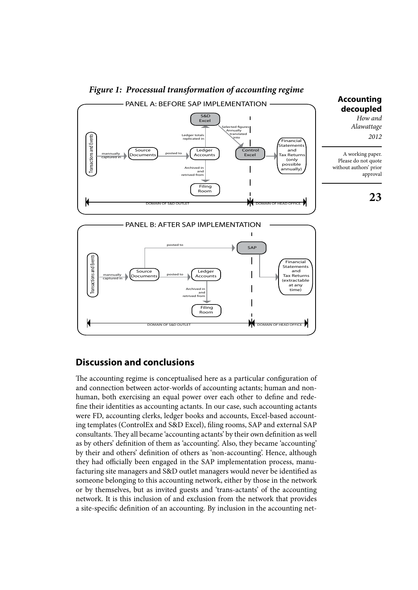

### *Figure 1: Processual transformation of accounting regime*



### **Discussion and conclusions**

The accounting regime is conceptualised here as a particular configuration of and connection between actor-worlds of accounting actants; human and nonhuman, both exercising an equal power over each other to define and redefine their identities as accounting actants. In our case, such accounting actants were FD, accounting clerks, ledger books and accounts, Excel-based accounting templates (ControlEx and S&D Excel), filing rooms, SAP and external SAP consultants. They all became 'accounting actants' by their own definition as well as by others' definition of them as 'accounting'. Also, they became 'accounting' by their and others' definition of others as 'non-accounting'. Hence, although they had officially been engaged in the SAP implementation process, manufacturing site managers and S&D outlet managers would never be identified as someone belonging to this accounting network, either by those in the network or by themselves, but as invited guests and 'trans-actants' of the accounting network. It is this inclusion of and exclusion from the network that provides a site-specific definition of an accounting. By inclusion in the accounting net**23**

approval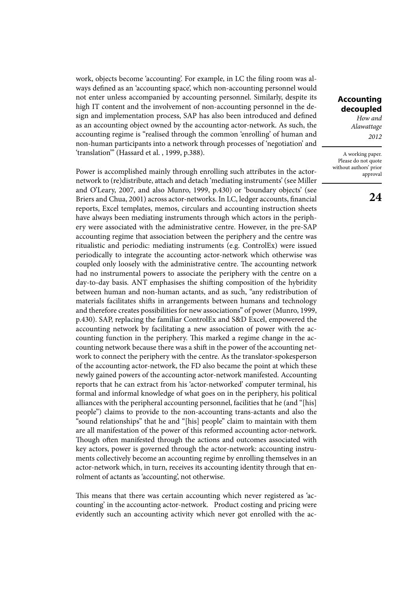work, objects become 'accounting'. For example, in LC the filing room was always defined as an 'accounting space', which non-accounting personnel would not enter unless accompanied by accounting personnel. Similarly, despite its high IT content and the involvement of non-accounting personnel in the design and implementation process, SAP has also been introduced and defined as an accounting object owned by the accounting actor-network. As such, the accounting regime is "realised through the common 'enrolling' of human and non-human participants into a network through processes of 'negotiation' and 'translation'" (Hassard et al. , 1999, p.388).

Power is accomplished mainly through enrolling such attributes in the actornetwork to (re)distribute, attach and detach 'mediating instruments' (see Miller and O'Leary, 2007, and also Munro, 1999, p.430) or 'boundary objects' (see Briers and Chua, 2001) across actor-networks. In LC, ledger accounts, financial reports, Excel templates, memos, circulars and accounting instruction sheets have always been mediating instruments through which actors in the periphery were associated with the administrative centre. However, in the pre-SAP accounting regime that association between the periphery and the centre was ritualistic and periodic: mediating instruments (e.g. ControlEx) were issued periodically to integrate the accounting actor-network which otherwise was coupled only loosely with the administrative centre. The accounting network had no instrumental powers to associate the periphery with the centre on a day-to-day basis. ANT emphasises the shifting composition of the hybridity between human and non-human actants, and as such, "any redistribution of materials facilitates shifts in arrangements between humans and technology and therefore creates possibilities for new associations" of power (Munro, 1999, p.430). SAP, replacing the familiar ControlEx and S&D Excel, empowered the accounting network by facilitating a new association of power with the accounting function in the periphery. This marked a regime change in the accounting network because there was a shift in the power of the accounting network to connect the periphery with the centre. As the translator-spokesperson of the accounting actor-network, the FD also became the point at which these newly gained powers of the accounting actor-network manifested. Accounting reports that he can extract from his 'actor-networked' computer terminal, his formal and informal knowledge of what goes on in the periphery, his political alliances with the peripheral accounting personnel, facilities that he (and "[his] people") claims to provide to the non-accounting trans-actants and also the "sound relationships" that he and "[his] people" claim to maintain with them are all manifestation of the power of this reformed accounting actor-network. Though often manifested through the actions and outcomes associated with key actors, power is governed through the actor-network: accounting instruments collectively become an accounting regime by enrolling themselves in an actor-network which, in turn, receives its accounting identity through that enrolment of actants as 'accounting', not otherwise.

This means that there was certain accounting which never registered as 'accounting' in the accounting actor-network. Product costing and pricing were evidently such an accounting activity which never got enrolled with the ac-

#### **Accounting decoupled**  *How and*

*Alawattage 2012*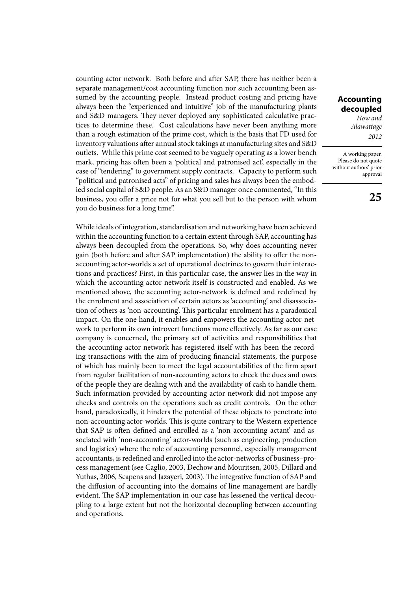counting actor network. Both before and after SAP, there has neither been a separate management/cost accounting function nor such accounting been assumed by the accounting people. Instead product costing and pricing have always been the "experienced and intuitive" job of the manufacturing plants and S&D managers. They never deployed any sophisticated calculative practices to determine these. Cost calculations have never been anything more than a rough estimation of the prime cost, which is the basis that FD used for inventory valuations after annual stock takings at manufacturing sites and S&D outlets. While this prime cost seemed to be vaguely operating as a lower bench mark, pricing has often been a 'political and patronised act', especially in the case of "tendering" to government supply contracts. Capacity to perform such "political and patronised acts" of pricing and sales has always been the embodied social capital of S&D people. As an S&D manager once commented, "In this business, you offer a price not for what you sell but to the person with whom you do business for a long time".

While ideals of integration, standardisation and networking have been achieved within the accounting function to a certain extent through SAP, accounting has always been decoupled from the operations. So, why does accounting never gain (both before and after SAP implementation) the ability to offer the nonaccounting actor-worlds a set of operational doctrines to govern their interactions and practices? First, in this particular case, the answer lies in the way in which the accounting actor-network itself is constructed and enabled. As we mentioned above, the accounting actor-network is defined and redefined by the enrolment and association of certain actors as 'accounting' and disassociation of others as 'non-accounting'. This particular enrolment has a paradoxical impact. On the one hand, it enables and empowers the accounting actor-network to perform its own introvert functions more effectively. As far as our case company is concerned, the primary set of activities and responsibilities that the accounting actor-network has registered itself with has been the recording transactions with the aim of producing financial statements, the purpose of which has mainly been to meet the legal accountabilities of the firm apart from regular facilitation of non-accounting actors to check the dues and owes of the people they are dealing with and the availability of cash to handle them. Such information provided by accounting actor network did not impose any checks and controls on the operations such as credit controls. On the other hand, paradoxically, it hinders the potential of these objects to penetrate into non-accounting actor-worlds. This is quite contrary to the Western experience that SAP is often defined and enrolled as a 'non-accounting actant' and associated with 'non-accounting' actor-worlds (such as engineering, production and logistics) where the role of accounting personnel, especially management accountants, is redefined and enrolled into the actor-networks of business–process management (see Caglio, 2003, Dechow and Mouritsen, 2005, Dillard and Yuthas, 2006, Scapens and Jazayeri, 2003). The integrative function of SAP and the diffusion of accounting into the domains of line management are hardly evident. The SAP implementation in our case has lessened the vertical decoupling to a large extent but not the horizontal decoupling between accounting and operations.

## **Accounting decoupled**

*How and Alawattage 2012*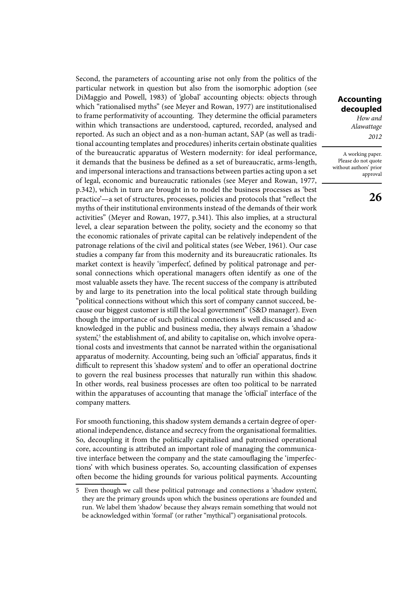Second, the parameters of accounting arise not only from the politics of the particular network in question but also from the isomorphic adoption (see DiMaggio and Powell, 1983) of 'global' accounting objects: objects through which "rationalised myths" (see Meyer and Rowan, 1977) are institutionalised to frame performativity of accounting. They determine the official parameters within which transactions are understood, captured, recorded, analysed and reported. As such an object and as a non-human actant, SAP (as well as traditional accounting templates and procedures) inherits certain obstinate qualities of the bureaucratic apparatus of Western modernity: for ideal performance, it demands that the business be defined as a set of bureaucratic, arms-length, and impersonal interactions and transactions between parties acting upon a set of legal, economic and bureaucratic rationales (see Meyer and Rowan, 1977, p.342), which in turn are brought in to model the business processes as 'best practice'—a set of structures, processes, policies and protocols that "reflect the myths of their institutional environments instead of the demands of their work activities" (Meyer and Rowan, 1977, p.341). This also implies, at a structural level, a clear separation between the polity, society and the economy so that the economic rationales of private capital can be relatively independent of the patronage relations of the civil and political states (see Weber, 1961). Our case studies a company far from this modernity and its bureaucratic rationales. Its market context is heavily 'imperfect', defined by political patronage and personal connections which operational managers often identify as one of the most valuable assets they have. The recent success of the company is attributed by and large to its penetration into the local political state through building "political connections without which this sort of company cannot succeed, because our biggest customer is still the local government" (S&D manager). Even though the importance of such political connections is well discussed and acknowledged in the public and business media, they always remain a 'shadow system',<sup>5</sup> the establishment of, and ability to capitalise on, which involve operational costs and investments that cannot be narrated within the organisational apparatus of modernity. Accounting, being such an 'official' apparatus, finds it difficult to represent this 'shadow system' and to offer an operational doctrine to govern the real business processes that naturally run within this shadow. In other words, real business processes are often too political to be narrated within the apparatuses of accounting that manage the 'official' interface of the company matters.

For smooth functioning, this shadow system demands a certain degree of operational independence, distance and secrecy from the organisational formalities. So, decoupling it from the politically capitalised and patronised operational core, accounting is attributed an important role of managing the communicative interface between the company and the state camouflaging the 'imperfections' with which business operates. So, accounting classification of expenses often become the hiding grounds for various political payments. Accounting

#### **Accounting decoupled**  *How and*

*Alawattage 2012*

<sup>5</sup> Even though we call these political patronage and connections a 'shadow system', they are the primary grounds upon which the business operations are founded and run. We label them 'shadow' because they always remain something that would not be acknowledged within 'formal' (or rather "mythical") organisational protocols.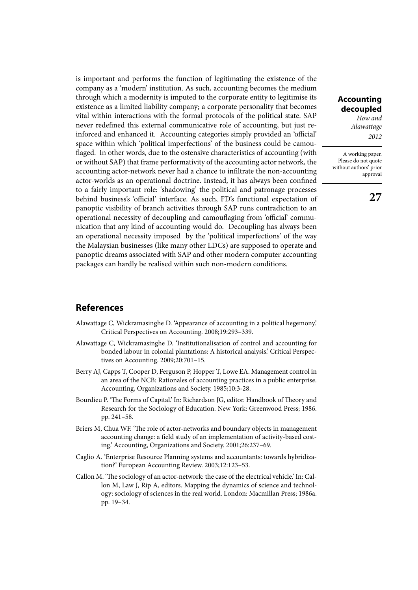is important and performs the function of legitimating the existence of the company as a 'modern' institution. As such, accounting becomes the medium through which a modernity is imputed to the corporate entity to legitimise its existence as a limited liability company; a corporate personality that becomes vital within interactions with the formal protocols of the political state. SAP never redefined this external communicative role of accounting, but just reinforced and enhanced it. Accounting categories simply provided an 'official' space within which 'political imperfections' of the business could be camouflaged. In other words, due to the ostensive characteristics of accounting (with or without SAP) that frame performativity of the accounting actor network, the accounting actor-network never had a chance to infiltrate the non-accounting actor-worlds as an operational doctrine. Instead, it has always been confined to a fairly important role: 'shadowing' the political and patronage processes behind business's 'official' interface. As such, FD's functional expectation of panoptic visibility of branch activities through SAP runs contradiction to an operational necessity of decoupling and camouflaging from 'official' communication that any kind of accounting would do. Decoupling has always been an operational necessity imposed by the 'political imperfections' of the way the Malaysian businesses (like many other LDCs) are supposed to operate and panoptic dreams associated with SAP and other modern computer accounting packages can hardly be realised within such non-modern conditions.

#### **Accounting decoupled**  *How and*

*Alawattage 2012*

A working paper. Please do not quote without authors' prior approval

### **References**

- Alawattage C, Wickramasinghe D. 'Appearance of accounting in a political hegemony.' Critical Perspectives on Accounting. 2008;19:293–339.
- Alawattage C, Wickramasinghe D. 'Institutionalisation of control and accounting for bonded labour in colonial plantations: A historical analysis.' Critical Perspectives on Accounting. 2009;20:701–15.
- Berry AJ, Capps T, Cooper D, Ferguson P, Hopper T, Lowe EA. Management control in an area of the NCB: Rationales of accounting practices in a public enterprise. Accounting, Organizations and Society. 1985;10:3-28.
- Bourdieu P. 'The Forms of Capital.' In: Richardson JG, editor. Handbook of Theory and Research for the Sociology of Education. New York: Greenwood Press; 1986. pp. 241–58.
- Briers M, Chua WF. 'The role of actor-networks and boundary objects in management accounting change: a field study of an implementation of activity-based costing.' Accounting, Organizations and Society. 2001;26:237–69.
- Caglio A. 'Enterprise Resource Planning systems and accountants: towards hybridization?' European Accounting Review. 2003;12:123–53.
- Callon M. 'The sociology of an actor-network: the case of the electrical vehicle.' In: Callon M, Law J, Rip A, editors. Mapping the dynamics of science and technology: sociology of sciences in the real world. London: Macmillan Press; 1986a. pp. 19–34.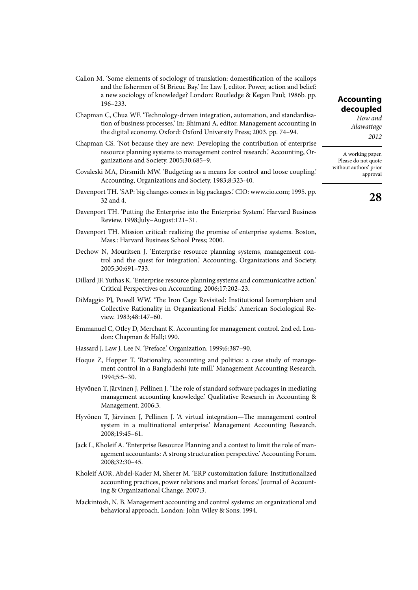- Callon M. 'Some elements of sociology of translation: domestification of the scallops and the fishermen of St Brieuc Bay.' In: Law J, editor. Power, action and belief: a new sociology of knowledge? London: Routledge & Kegan Paul; 1986b. pp. 196–233.
- Chapman C, Chua WF. 'Technology-driven integration, automation, and standardisation of business processes.' In: Bhimani A, editor. Management accounting in the digital economy. Oxford: Oxford University Press; 2003. pp. 74–94.
- Chapman CS. 'Not because they are new: Developing the contribution of enterprise resource planning systems to management control research.' Accounting, Organizations and Society. 2005;30:685–9.
- Covaleski MA, Dirsmith MW. 'Budgeting as a means for control and loose coupling.' Accounting, Organizations and Society. 1983;8:323-40.
- Davenport TH. 'SAP: big changes comes in big packages.' CIO: www.cio.com; 1995. pp. 32 and 4.
- Davenport TH. 'Putting the Enterprise into the Enterprise System.' Harvard Business Review. 1998;July–August:121–31.
- Davenport TH. Mission critical: realizing the promise of enterprise systems. Boston, Mass.: Harvard Business School Press; 2000.
- Dechow N, Mouritsen J. 'Enterprise resource planning systems, management control and the quest for integration.' Accounting, Organizations and Society. 2005;30:691–733.
- Dillard JF, Yuthas K. 'Enterprise resource planning systems and communicative action.' Critical Perspectives on Accounting. 2006;17:202–23.
- DiMaggio PJ, Powell WW. 'The Iron Cage Revisited: Institutional Isomorphism and Collective Rationality in Organizational Fields.' American Sociological Review. 1983;48:147–60.
- Emmanuel C, Otley D, Merchant K. Accounting for management control. 2nd ed. London: Chapman & Hall;1990.
- Hassard J, Law J, Lee N. 'Preface.' Organization. 1999;6:387–90.
- Hoque Z, Hopper T. 'Rationality, accounting and politics: a case study of management control in a Bangladeshi jute mill.' Management Accounting Research. 1994;5:5–30.
- Hyvönen T, Järvinen J, Pellinen J. 'The role of standard software packages in mediating management accounting knowledge.' Qualitative Research in Accounting & Management. 2006;3.
- Hyvönen T, Järvinen J, Pellinen J. 'A virtual integration—The management control system in a multinational enterprise.' Management Accounting Research. 2008;19:45–61.
- Jack L, Kholeif A. 'Enterprise Resource Planning and a contest to limit the role of management accountants: A strong structuration perspective.' Accounting Forum. 2008;32:30–45.
- Kholeif AOR, Abdel-Kader M, Sherer M. 'ERP customization failure: Institutionalized accounting practices, power relations and market forces.' Journal of Accounting & Organizational Change. 2007;3.
- Mackintosh, N. B. Management accounting and control systems: an organizational and behavioral approach. London: John Wiley & Sons; 1994.

### **Accounting decoupled**

*How and Alawattage 2012*

A working paper. Please do not quote without authors' prior approval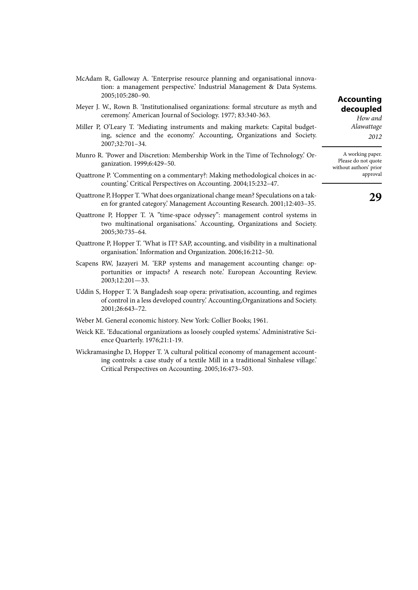- McAdam R, Galloway A. 'Enterprise resource planning and organisational innovation: a management perspective.' Industrial Management & Data Systems. 2005;105:280–90.
- Meyer J. W., Rown B. 'Institutionalised organizations: formal strcuture as myth and ceremony.' American Journal of Sociology. 1977; 83:340-363.
- Miller P, O'Leary T. 'Mediating instruments and making markets: Capital budgeting, science and the economy.' Accounting, Organizations and Society. 2007;32:701–34.
- Munro R. 'Power and Discretion: Membership Work in the Time of Technology.' Organization. 1999;6:429–50.
- Quattrone P. 'Commenting on a commentary?: Making methodological choices in accounting.' Critical Perspectives on Accounting. 2004;15:232–47.
- Quattrone P, Hopper T. 'What does organizational change mean? Speculations on a taken for granted category.' Management Accounting Research. 2001;12:403–35.
- Quattrone P, Hopper T. 'A "time-space odyssey": management control systems in two multinational organisations.' Accounting, Organizations and Society. 2005;30:735–64.
- Quattrone P, Hopper T. 'What is IT? SAP, accounting, and visibility in a multinational organisation.' Information and Organization. 2006;16:212–50.
- Scapens RW, Jazayeri M. 'ERP systems and management accounting change: opportunities or impacts? A research note.' European Accounting Review. 2003;12:201—33.
- Uddin S, Hopper T. 'A Bangladesh soap opera: privatisation, accounting, and regimes of control in a less developed country.' Accounting,Organizations and Society. 2001;26:643–72.
- Weber M. General economic history. New York: Collier Books; 1961.
- Weick KE. 'Educational organizations as loosely coupled systems.' Administrative Science Quarterly. 1976;21:1-19.
- Wickramasinghe D, Hopper T. 'A cultural political economy of management accounting controls: a case study of a textile Mill in a traditional Sinhalese village.' Critical Perspectives on Accounting. 2005;16:473–503.

**Accounting decoupled** 

*How and Alawattage 2012*

A working paper. Please do not quote without authors' prior approval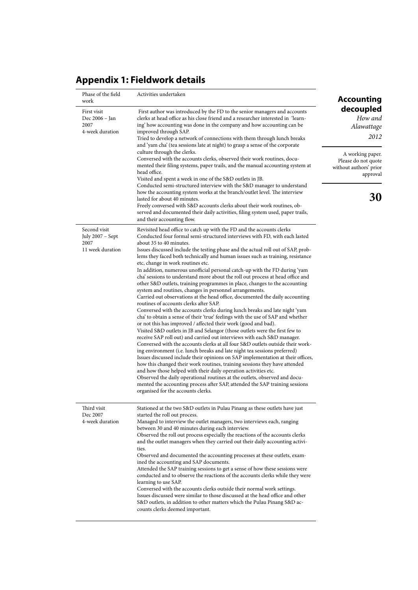# **Appendix 1: Fieldwork details**

| <b>Accounting</b>                                                             | Activities undertaken                                                                                                                                                                                                                                                                                                                                                                                                                                                                                                                                                                                                                                                                                                                                                                                                                                                                                                                                                                                                                                                                                                                                                                                                                                                                                                                                                                                                                                                                                                                                                                                                                                                                                                                                                                                                                                                                           | Phase of the field<br>work                               |
|-------------------------------------------------------------------------------|-------------------------------------------------------------------------------------------------------------------------------------------------------------------------------------------------------------------------------------------------------------------------------------------------------------------------------------------------------------------------------------------------------------------------------------------------------------------------------------------------------------------------------------------------------------------------------------------------------------------------------------------------------------------------------------------------------------------------------------------------------------------------------------------------------------------------------------------------------------------------------------------------------------------------------------------------------------------------------------------------------------------------------------------------------------------------------------------------------------------------------------------------------------------------------------------------------------------------------------------------------------------------------------------------------------------------------------------------------------------------------------------------------------------------------------------------------------------------------------------------------------------------------------------------------------------------------------------------------------------------------------------------------------------------------------------------------------------------------------------------------------------------------------------------------------------------------------------------------------------------------------------------|----------------------------------------------------------|
| decoupled<br>How and<br>Alawattage<br>2012                                    | First author was introduced by the FD to the senior managers and accounts<br>clerks at head office as his close friend and a researcher interested in 'learn-<br>ing' how accounting was done in the company and how accounting can be<br>improved through SAP.<br>Tried to develop a network of connections with them through lunch breaks<br>and 'yam cha' (tea sessions late at night) to grasp a sense of the corporate                                                                                                                                                                                                                                                                                                                                                                                                                                                                                                                                                                                                                                                                                                                                                                                                                                                                                                                                                                                                                                                                                                                                                                                                                                                                                                                                                                                                                                                                     | First visit<br>Dec 2006 – Jan<br>2007<br>4-week duration |
| A working paper.<br>Please do not quote<br>without authors' prior<br>approval | culture through the clerks.<br>Conversed with the accounts clerks, observed their work routines, docu-<br>mented their filing systems, paper trails, and the manual accounting system at<br>head office.<br>Visited and spent a week in one of the S&D outlets in JB.                                                                                                                                                                                                                                                                                                                                                                                                                                                                                                                                                                                                                                                                                                                                                                                                                                                                                                                                                                                                                                                                                                                                                                                                                                                                                                                                                                                                                                                                                                                                                                                                                           |                                                          |
| 30                                                                            | Conducted semi-structured interview with the S&D manager to understand<br>how the accounting system works at the branch/outlet level. The interview<br>lasted for about 40 minutes.<br>Freely conversed with S&D accounts clerks about their work routines, ob-<br>served and documented their daily activities, filing system used, paper trails,<br>and their accounting flow.                                                                                                                                                                                                                                                                                                                                                                                                                                                                                                                                                                                                                                                                                                                                                                                                                                                                                                                                                                                                                                                                                                                                                                                                                                                                                                                                                                                                                                                                                                                |                                                          |
|                                                                               | Second visit<br>Revisited head office to catch up with the FD and the accounts clerks<br>July 2007 - Sept<br>Conducted four formal semi-structured interviews with FD, with each lasted<br>2007<br>about 35 to 40 minutes.<br>11 week duration<br>Issues discussed include the testing phase and the actual roll out of SAP, prob-<br>lems they faced both technically and human issues such as training, resistance<br>etc, change in work routines etc.<br>In addition, numerous unofficial personal catch-up with the FD during 'yam<br>cha' sessions to understand more about the roll out process at head office and<br>other S&D outlets, training programmes in place, changes to the accounting<br>system and routines, changes in personnel arrangements.<br>Carried out observations at the head office, documented the daily accounting<br>routines of accounts clerks after SAP.<br>Conversed with the accounts clerks during lunch breaks and late night 'yam<br>cha' to obtain a sense of their 'true' feelings with the use of SAP and whether<br>or not this has improved / affected their work (good and bad).<br>Visited S&D outlets in JB and Selangor (those outlets were the first few to<br>receive SAP roll out) and carried out interviews with each S&D manager.<br>Conversed with the accounts clerks at all four S&D outlets outside their work-<br>ing environment (i.e. lunch breaks and late night tea sessions preferred)<br>Issues discussed include their opinions on SAP implementation at their offices,<br>how this changed their work routines, training sessions they have attended<br>and how those helped with their daily operation activities etc.<br>Observed the daily operational routines at the outlets, observed and docu-<br>mented the accounting process after SAP, attended the SAP training sessions<br>organised for the accounts clerks. |                                                          |
|                                                                               | Stationed at the two S&D outlets in Pulau Pinang as these outlets have just<br>started the roll out process.<br>Managed to interview the outlet managers, two interviews each, ranging<br>between 30 and 40 minutes during each interview.<br>Observed the roll out process especially the reactions of the accounts clerks<br>and the outlet managers when they carried out their daily accounting activi-<br>ties.<br>Observed and documented the accounting processes at these outlets, exam-<br>ined the accounting and SAP documents.<br>Attended the SAP training sessions to get a sense of how these sessions were<br>conducted and to observe the reactions of the accounts clerks while they were<br>learning to use SAP.<br>Conversed with the accounts clerks outside their normal work settings.<br>Issues discussed were similar to those discussed at the head office and other<br>S&D outlets, in addition to other matters which the Pulau Pinang S&D ac-<br>counts clerks deemed important.                                                                                                                                                                                                                                                                                                                                                                                                                                                                                                                                                                                                                                                                                                                                                                                                                                                                                   | Third visit<br>Dec 2007<br>4-week duration               |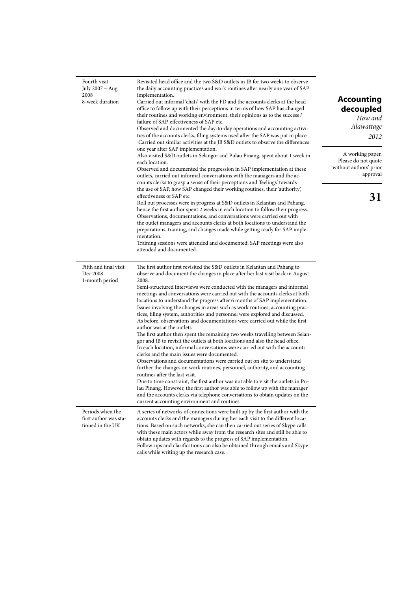| Fourth visit<br>July 2007 – Aug<br>2008<br>8-week duration    | Revisited head office and the two S&D outlets in JB for two weeks to observe<br>the daily accounting practices and work routines after nearly one year of SAP<br>implementation.<br>Carried out informal 'chats' with the FD and the accounts clerks at the head<br>office to follow up with their perceptions in terms of how SAP has changed<br>their routines and working environment, their opinions as to the success /<br>failure of SAP, effectiveness of SAP etc.<br>Observed and documented the day-to-day operations and accounting activi-<br>ties of the accounts clerks, filing systems used after the SAP was put in place.<br>Carried out similar activities at the JB S&D outlets to observe the differences<br>one year after SAP implementation.<br>Also visited S&D outlets in Selangor and Pulau Pinang, spent about 1 week in<br>each location.<br>Observed and documented the progression in SAP implementation at these<br>outlets, carried out informal conversations with the managers and the ac-<br>counts clerks to grasp a sense of their perceptions and 'feelings' towards<br>the use of SAP, how SAP changed their working routines, their 'authority',<br>effectiveness of SAP etc.<br>Roll out processes were in progress at S&D outlets in Kelantan and Pahang,<br>hence the first author spent 2 weeks in each location to follow their progress.<br>Observations, documentations, and conversations were carried out with<br>the outlet managers and accounts clerks at both locations to understand the<br>preparations, training, and changes made while getting ready for SAP imple-<br>mentation.<br>Training sessions were attended and documented; SAP meetings were also<br>attended and documented. |
|---------------------------------------------------------------|--------------------------------------------------------------------------------------------------------------------------------------------------------------------------------------------------------------------------------------------------------------------------------------------------------------------------------------------------------------------------------------------------------------------------------------------------------------------------------------------------------------------------------------------------------------------------------------------------------------------------------------------------------------------------------------------------------------------------------------------------------------------------------------------------------------------------------------------------------------------------------------------------------------------------------------------------------------------------------------------------------------------------------------------------------------------------------------------------------------------------------------------------------------------------------------------------------------------------------------------------------------------------------------------------------------------------------------------------------------------------------------------------------------------------------------------------------------------------------------------------------------------------------------------------------------------------------------------------------------------------------------------------------------------------------------------------------------------------------------------------|
| Fifth and final visit<br>Dec 2008<br>1-month period           | The first author first revisited the S&D outlets in Kelantan and Pahang to<br>observe and document the changes in place after her last visit back in August<br>2008.<br>Semi-structured interviews were conducted with the managers and informal<br>meetings and conversations were carried out with the accounts clerks at both<br>locations to understand the progress after 6 months of SAP implementation.<br>Issues involving the changes in areas such as work routines, accounting prac-<br>tices, filing system, authorities and personnel were explored and discussed.<br>As before, observations and documentations were carried out while the first<br>author was at the outlets<br>The first author then spent the remaining two weeks travelling between Selan-<br>gor and JB to revisit the outlets at both locations and also the head office.<br>In each location, informal conversations were carried out with the accounts<br>clerks and the main issues were documented.<br>Observations and documentations were carried out on site to understand<br>further the changes on work routines, personnel, authority, and accounting<br>routines after the last visit.<br>Due to time constraint, the first author was not able to visit the outlets in Pu-<br>lau Pinang. However, the first author was able to follow up with the manager<br>and the accounts clerks via telephone conversations to obtain updates on the<br>current accounting environment and routines.                                                                                                                                                                                                                                                       |
| Periods when the<br>first author was sta-<br>tioned in the UK | A series of networks of connections were built up by the first author with the<br>accounts clerks and the managers during her each visit to the different loca-<br>tions. Based on such networks, she can then carried out series of Skype calls<br>with these main actors while away from the research sites and still be able to<br>obtain updates with regards to the progress of SAP implementation.<br>Follow-ups and clarifications can also be obtained through emails and Skype<br>calls while writing up the research case.                                                                                                                                                                                                                                                                                                                                                                                                                                                                                                                                                                                                                                                                                                                                                                                                                                                                                                                                                                                                                                                                                                                                                                                                             |

# **Accounting decoupled**

*How and Alawattage*

*2012*